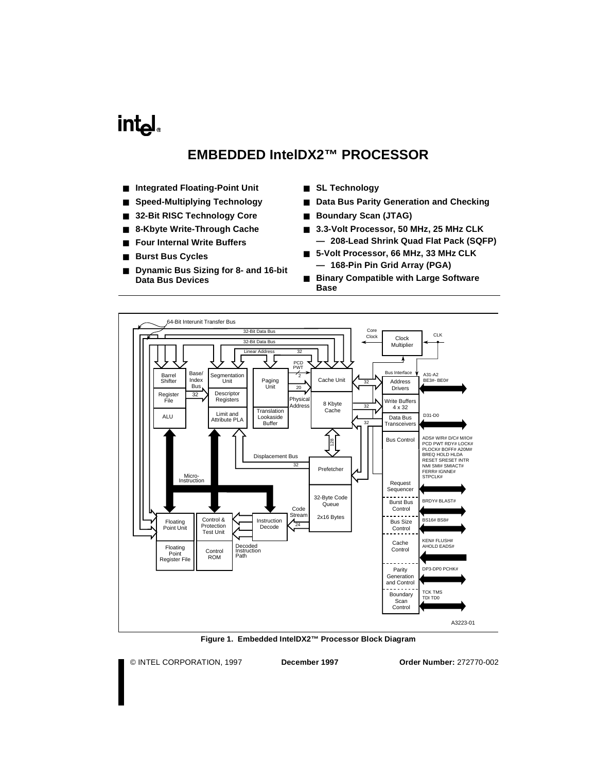## <span id="page-0-0"></span>**intel**

## **EMBEDDED IntelDX2™ PROCESSOR**

- **Integrated Floating-Point Unit**
- **Speed-Multiplying Technology**
- 32-Bit RISC Technology Core
- **8-Kbyte Write-Through Cache**
- **Four Internal Write Buffers**
- **Burst Bus Cycles**
- **Dynamic Bus Sizing for 8- and 16-bit Data Bus Devices**
- **SL Technology**
- **Data Bus Parity Generation and Checking**
- **Boundary Scan (JTAG)**
- **3.3-Volt Processor, 50 MHz, 25 MHz CLK — 208-Lead Shrink Quad Flat Pack (SQFP)**
- **5-Volt Processor, 66 MHz, 33 MHz CLK — 168-Pin Pin Grid Array (PGA)**
- **Binary Compatible with Large Software Base**



**Figure 1. Embedded IntelDX2™ Processor Block Diagram**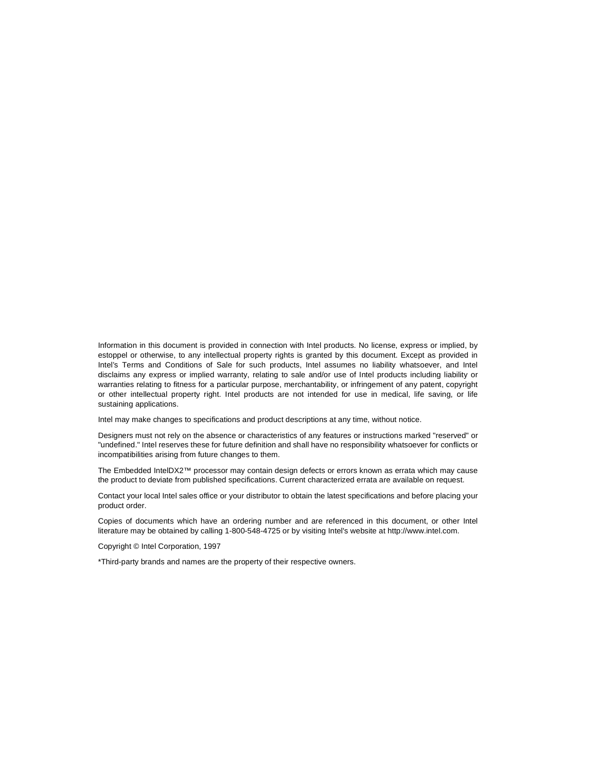Information in this document is provided in connection with Intel products. No license, express or implied, by estoppel or otherwise, to any intellectual property rights is granted by this document. Except as provided in Intel's Terms and Conditions of Sale for such products, Intel assumes no liability whatsoever, and Intel disclaims any express or implied warranty, relating to sale and/or use of Intel products including liability or warranties relating to fitness for a particular purpose, merchantability, or infringement of any patent, copyright or other intellectual property right. Intel products are not intended for use in medical, life saving, or life sustaining applications.

Intel may make changes to specifications and product descriptions at any time, without notice.

Designers must not rely on the absence or characteristics of any features or instructions marked "reserved" or "undefined." Intel reserves these for future definition and shall have no responsibility whatsoever for conflicts or incompatibilities arising from future changes to them.

The Embedded IntelDX2™ processor may contain design defects or errors known as errata which may cause the product to deviate from published specifications. Current characterized errata are available on request.

Contact your local Intel sales office or your distributor to obtain the latest specifications and before placing your product order.

Copies of documents which have an ordering number and are referenced in this document, or other Intel literature may be obtained by calling 1-800-548-4725 or by visiting Intel's website at http://www.intel.com.

Copyright © Intel Corporation, 1997

\*Third-party brands and names are the property of their respective owners.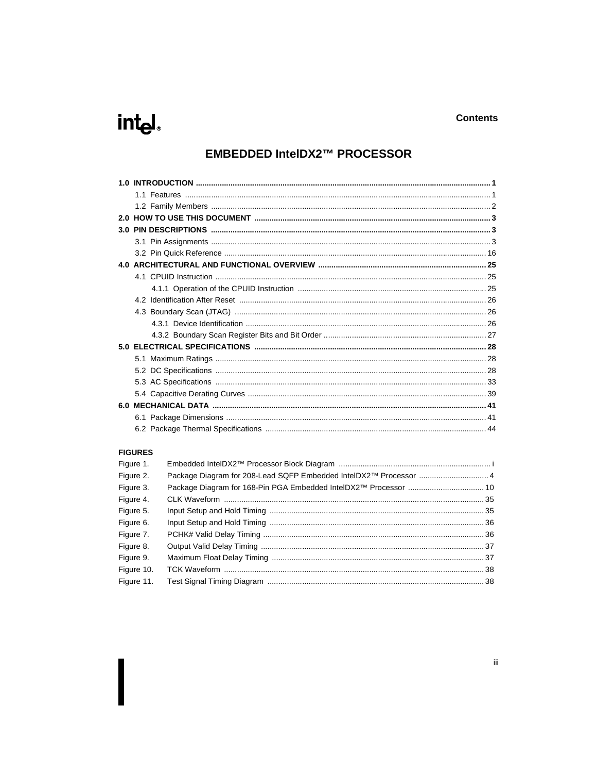# intel.

## **EMBEDDED IntelDX2™ PROCESSOR**

### **FIGURES**

| Figure 1.  |                                                                   |  |
|------------|-------------------------------------------------------------------|--|
| Figure 2.  | Package Diagram for 208-Lead SQFP Embedded IntelDX2™ Processor  4 |  |
| Figure 3.  |                                                                   |  |
| Figure 4.  |                                                                   |  |
| Figure 5.  |                                                                   |  |
| Figure 6.  |                                                                   |  |
| Figure 7.  |                                                                   |  |
| Figure 8.  |                                                                   |  |
| Figure 9.  |                                                                   |  |
| Figure 10. |                                                                   |  |
| Figure 11. |                                                                   |  |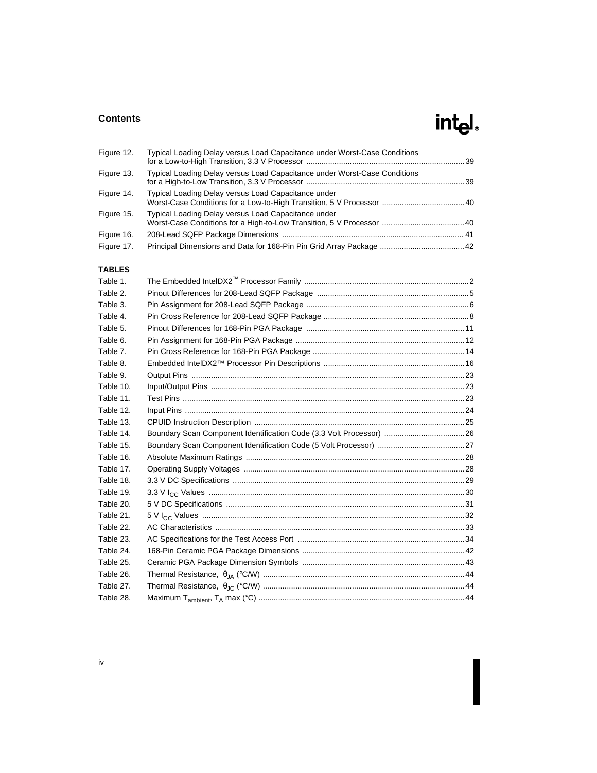## **Contents**

# intel.

| Figure 12. | Typical Loading Delay versus Load Capacitance under Worst-Case Conditions |  |
|------------|---------------------------------------------------------------------------|--|
| Figure 13. | Typical Loading Delay versus Load Capacitance under Worst-Case Conditions |  |
| Figure 14. | Typical Loading Delay versus Load Capacitance under                       |  |
| Figure 15. | Typical Loading Delay versus Load Capacitance under                       |  |
| Figure 16. |                                                                           |  |
| Figure 17. |                                                                           |  |

## **TABLES**

| Table 1.  |                                                                      |  |
|-----------|----------------------------------------------------------------------|--|
| Table 2.  |                                                                      |  |
| Table 3.  |                                                                      |  |
| Table 4.  |                                                                      |  |
| Table 5.  |                                                                      |  |
| Table 6.  |                                                                      |  |
| Table 7.  |                                                                      |  |
| Table 8.  |                                                                      |  |
| Table 9.  |                                                                      |  |
| Table 10. |                                                                      |  |
| Table 11. |                                                                      |  |
| Table 12. |                                                                      |  |
| Table 13. |                                                                      |  |
| Table 14. | Boundary Scan Component Identification Code (3.3 Volt Processor)  26 |  |
| Table 15. |                                                                      |  |
| Table 16. |                                                                      |  |
| Table 17. |                                                                      |  |
| Table 18. |                                                                      |  |
| Table 19. |                                                                      |  |
| Table 20. |                                                                      |  |
| Table 21. |                                                                      |  |
| Table 22. |                                                                      |  |
| Table 23. |                                                                      |  |
| Table 24. |                                                                      |  |
| Table 25. |                                                                      |  |
| Table 26. |                                                                      |  |
| Table 27. |                                                                      |  |
| Table 28. |                                                                      |  |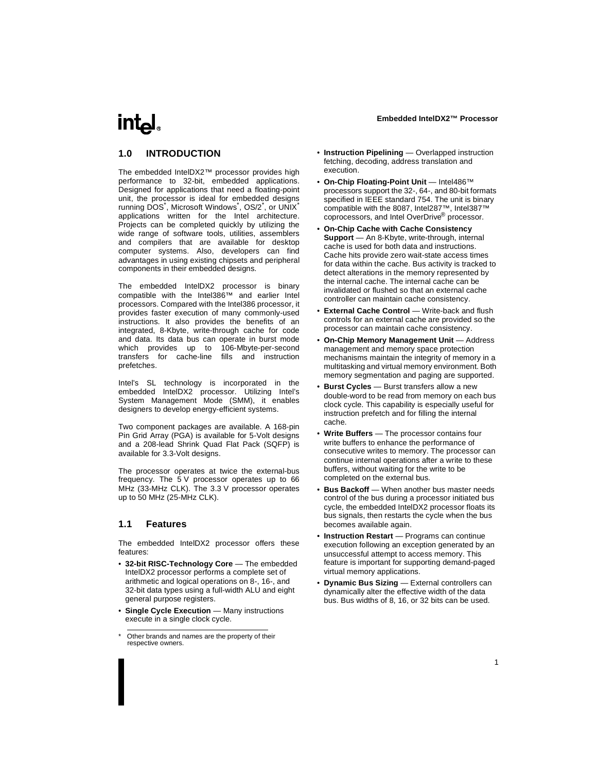## <span id="page-4-0"></span>intal.

## **1.0 INTRODUCTION**

The embedded IntelDX2™ processor provides high performance to 32-bit, embedded applications. Designed for applications that need a floating-point unit, the processor is ideal for embedded designs running DOS<sup>\*</sup>, Microsoft Windows<sup>\*</sup>, OS/2<sup>\*</sup>, or UNIX<sup>\*</sup> applications written for the Intel architecture. Projects can be completed quickly by utilizing the wide range of software tools, utilities, assemblers and compilers that are available for desktop computer systems. Also, developers can find advantages in using existing chipsets and peripheral components in their embedded designs.

The embedded IntelDX2 processor is binary compatible with the Intel386™ and earlier Intel processors. Compared with the Intel386 processor, it provides faster execution of many commonly-used instructions. It also provides the benefits of an integrated, 8-Kbyte, write-through cache for code and data. Its data bus can operate in burst mode which provides up to 106-Mbyte-per-second transfers for cache-line fills and instruction prefetches.

Intel's SL technology is incorporated in the embedded IntelDX2 processor. Utilizing Intel's System Management Mode (SMM), it enables designers to develop energy-efficient systems.

Two component packages are available. A 168-pin Pin Grid Array (PGA) is available for 5-Volt designs and a 208-lead Shrink Quad Flat Pack (SQFP) is available for 3.3-Volt designs.

The processor operates at twice the external-bus frequency. The 5 V processor operates up to 66 MHz (33-MHz CLK). The 3.3 V processor operates up to 50 MHz (25-MHz CLK).

## **1.1 Features**

The embedded IntelDX2 processor offers these features:

- **32-bit RISC-Technology Core** The embedded IntelDX2 processor performs a complete set of arithmetic and logical operations on 8-, 16-, and 32-bit data types using a full-width ALU and eight general purpose registers.
- **Single Cycle Execution** Many instructions execute in a single clock cycle.
- **Instruction Pipelining** Overlapped instruction fetching, decoding, address translation and execution.
- **On-Chip Floating-Point Unit**  Intel486™ processors support the 32-, 64-, and 80-bit formats specified in IEEE standard 754. The unit is binary compatible with the 8087, Intel287™, Intel387™ coprocessors, and Intel OverDrive® processor.
- **On-Chip Cache with Cache Consistency Support** — An 8-Kbyte, write-through, internal cache is used for both data and instructions. Cache hits provide zero wait-state access times for data within the cache. Bus activity is tracked to detect alterations in the memory represented by the internal cache. The internal cache can be invalidated or flushed so that an external cache controller can maintain cache consistency.
- **External Cache Control** Write-back and flush controls for an external cache are provided so the processor can maintain cache consistency.
- **On-Chip Memory Management Unit** Address management and memory space protection mechanisms maintain the integrity of memory in a multitasking and virtual memory environment. Both memory segmentation and paging are supported.
- **Burst Cycles** Burst transfers allow a new double-word to be read from memory on each bus clock cycle. This capability is especially useful for instruction prefetch and for filling the internal cache.
- **Write Buffers** The processor contains four write buffers to enhance the performance of consecutive writes to memory. The processor can continue internal operations after a write to these buffers, without waiting for the write to be completed on the external bus.
- **Bus Backoff** When another bus master needs control of the bus during a processor initiated bus cycle, the embedded IntelDX2 processor floats its bus signals, then restarts the cycle when the bus becomes available again.
- **Instruction Restart** Programs can continue execution following an exception generated by an unsuccessful attempt to access memory. This feature is important for supporting demand-paged virtual memory applications.
- **Dynamic Bus Sizing** External controllers can dynamically alter the effective width of the data bus. Bus widths of 8, 16, or 32 bits can be used.

<sup>\*</sup> Other brands and names are the property of their respective owners.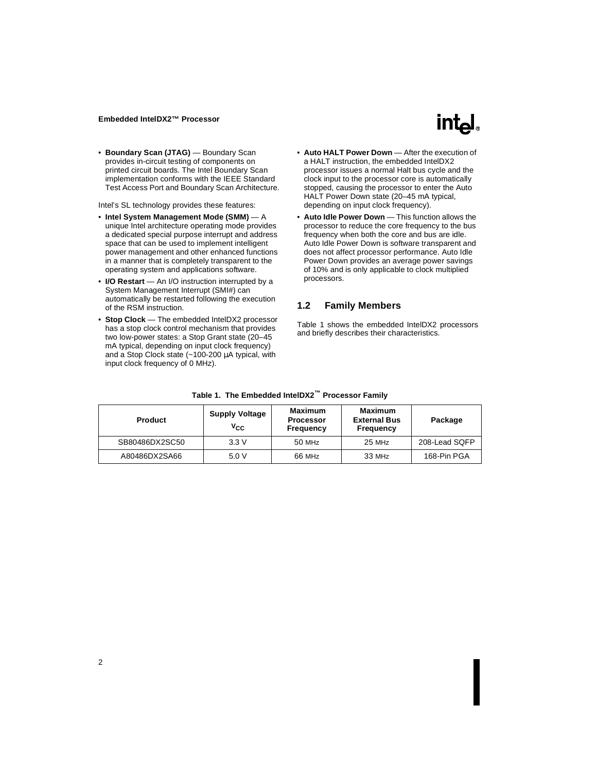

<span id="page-5-0"></span>• **Boundary Scan (JTAG)** — Boundary Scan provides in-circuit testing of components on printed circuit boards. The Intel Boundary Scan implementation conforms with the IEEE Standard Test Access Port and Boundary Scan Architecture.

Intel's SL technology provides these features:

- **Intel System Management Mode (SMM)**  A unique Intel architecture operating mode provides a dedicated special purpose interrupt and address space that can be used to implement intelligent power management and other enhanced functions in a manner that is completely transparent to the operating system and applications software.
- **I/O Restart** An I/O instruction interrupted by a System Management Interrupt (SMI#) can automatically be restarted following the execution of the RSM instruction.
- **Stop Clock** The embedded IntelDX2 processor has a stop clock control mechanism that provides two low-power states: a Stop Grant state (20–45 mA typical, depending on input clock frequency) and a Stop Clock state (~100-200 µA typical, with input clock frequency of 0 MHz).
- Auto **HALT Power Down** After the execution of a HALT instruction, the embedded IntelDX2 processor issues a normal Halt bus cycle and the clock input to the processor core is automatically stopped, causing the processor to enter the Auto HALT Power Down state (20–45 mA typical, depending on input clock frequency).
- **Auto Idle Power Down**  This function allows the processor to reduce the core frequency to the bus frequency when both the core and bus are idle. Auto Idle Power Down is software transparent and does not affect processor performance. Auto Idle Power Down provides an average power savings of 10% and is only applicable to clock multiplied processors.

## **1.2 Family Members**

Table 1 shows the embedded IntelDX2 processors and briefly describes their characteristics.

| <b>Product</b> | <b>Supply Voltage</b><br>$V_{CC}$ | Maximum<br><b>Processor</b><br>Frequency | Maximum<br><b>External Bus</b><br>Frequency | Package       |
|----------------|-----------------------------------|------------------------------------------|---------------------------------------------|---------------|
| SB80486DX2SC50 | 3.3V                              | 50 MHz                                   | $25$ MHz                                    | 208-Lead SQFP |
| A80486DX2SA66  | 5.0V                              | 66 MHz                                   | 33 MHz                                      | 168-Pin PGA   |

**Table 1. The Embedded IntelDX2™ Processor Family**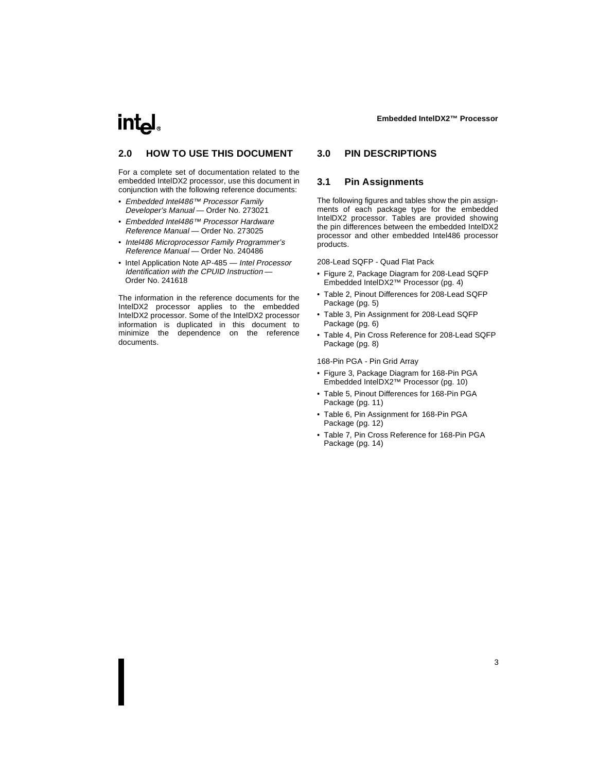# <span id="page-6-0"></span>intیl

## **2.0 HOW TO USE THIS DOCUMENT**

For a complete set of documentation related to the embedded IntelDX2 processor, use this document in conjunction with the following reference documents:

- Embedded Intel486™ Processor Family Developer's Manual — Order No. 273021
- Embedded Intel486™ Processor Hardware Reference Manual — Order No. 273025
- Intel486 Microprocessor Family Programmer's Reference Manual — Order No. 240486
- Intel Application Note AP-485 Intel Processor Identification with the CPUID Instruction — Order No. 241618

The information in the reference documents for the IntelDX2 processor applies to the embedded IntelDX2 processor. Some of the IntelDX2 processor information is duplicated in this document to minimize the dependence on the reference documents.

## **3.0 PIN DESCRIPTIONS**

### **3.1 Pin Assignments**

The following figures and tables show the pin assignments of each package type for the embedded IntelDX2 processor. Tables are provided showing the pin differences between the embedded IntelDX2 processor and other embedded Intel486 processor products.

208-Lead SQFP - Quad Flat Pack

- • [Figure 2, Package Diagram for 208-Lead SQFP](#page-7-0)  [Embedded IntelDX2™ Processor \(pg. 4\)](#page-7-0)
- • [Table 2, Pinout Differences for 208-Lead SQFP](#page-8-0)  [Package \(pg. 5\)](#page-8-0)
- • [Table 3, Pin Assignment for 208-Lead SQFP](#page-9-0)  [Package \(pg. 6\)](#page-9-0)
- • [Table 4, Pin Cross Reference for 208-Lead SQFP](#page-11-0)  [Package \(pg. 8\)](#page-11-0)

168-Pin PGA - Pin Grid Array

- • [Figure 3, Package Diagram for 168-Pin PGA](#page-13-0)  [Embedded IntelDX2™ Processor \(pg. 10\)](#page-13-0)
- • [Table 5, Pinout Differences for 168-Pin PGA](#page-14-0)  [Package \(pg. 11\)](#page-14-0)
- • [Table 6, Pin Assignment for 168-Pin PGA](#page-15-0)  [Package \(pg. 12\)](#page-15-0)
- • [Table 7, Pin Cross Reference for 168-Pin PGA](#page-17-0)  [Package \(pg. 14\)](#page-17-0)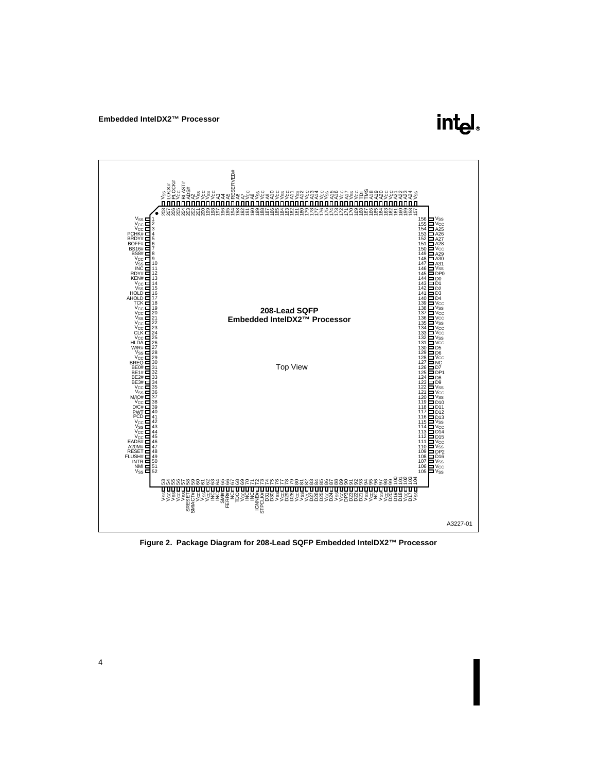

<span id="page-7-0"></span>

**Figure 2. Package Diagram for 208-Lead SQFP Embedded IntelDX2™ Processor**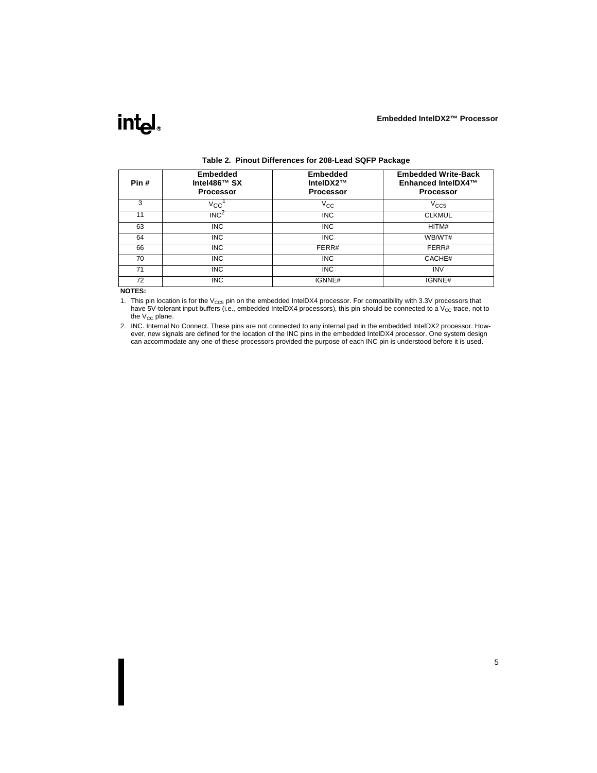<span id="page-8-0"></span>

| Pin# | <b>Embedded</b><br>Intel486™ SX<br><b>Processor</b> | <b>Embedded</b><br>IntelDX2™<br><b>Processor</b> | <b>Embedded Write-Back</b><br>Enhanced IntelDX4™<br><b>Processor</b> |
|------|-----------------------------------------------------|--------------------------------------------------|----------------------------------------------------------------------|
| 3    | $V_{\rm CC}$                                        | $V_{\rm CC}$                                     | V <sub>CC5</sub>                                                     |
| 11   | INC <sup>2</sup>                                    | <b>INC</b>                                       | <b>CLKMUL</b>                                                        |
| 63   | <b>INC</b>                                          | <b>INC</b>                                       | HITM#                                                                |
| 64   | <b>INC</b>                                          | <b>INC</b>                                       | WB/WT#                                                               |
| 66   | <b>INC</b>                                          | FERR#                                            | FERR#                                                                |
| 70   | <b>INC</b>                                          | <b>INC</b>                                       | CACHE#                                                               |
| 71   | <b>INC</b>                                          | <b>INC</b>                                       | <b>INV</b>                                                           |
| 72   | <b>INC</b>                                          | IGNNE#                                           | IGNNE#                                                               |

#### **Table 2. Pinout Differences for 208-Lead SQFP Package**

#### **NOTES:**

1. This pin location is for the  $V_{CC5}$  pin on the embedded IntelDX4 processor. For compatibility with 3.3V processors that have 5V-tolerant input buffers (i.e., embedded IntelDX4 processors), this pin should be connected to a V<sub>CC</sub> trace, not to the  $V_{CC}$  plane.

2. INC. Internal No Connect. These pins are not connected to any internal pad in the embedded IntelDX2 processor. However, new signals are defined for the location of the INC pins in the embedded IntelDX4 processor. One system design can accommodate any one of these processors provided the purpose of each INC pin is understood before it is used.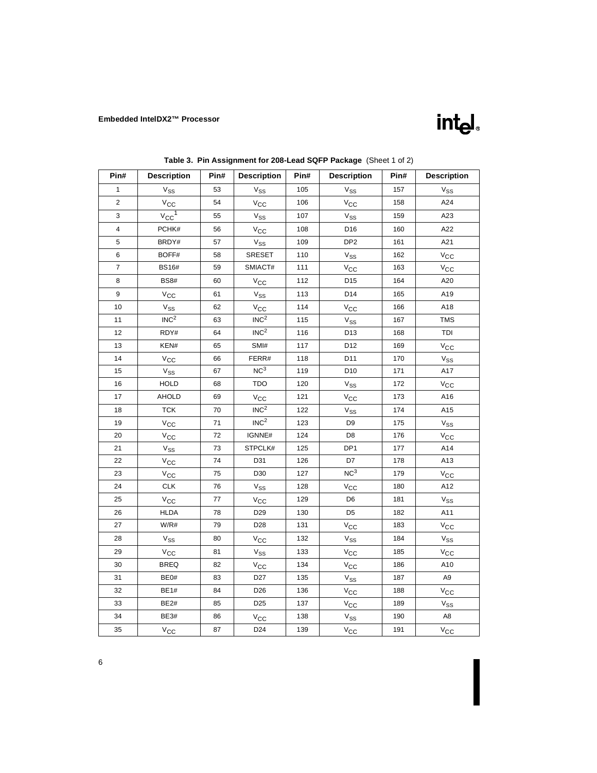

<span id="page-9-0"></span>

| Pin#                    | <b>Description</b>                        | Pin# | <b>Description</b>               | Pin# | <b>Description</b>         | Pin# | <b>Description</b>         |
|-------------------------|-------------------------------------------|------|----------------------------------|------|----------------------------|------|----------------------------|
| 1                       | $\rm V_{SS}$                              | 53   | $V_{SS}$                         | 105  | $V_{SS}$                   | 157  | $V_{SS}$                   |
| $\overline{2}$          | $\mathrm{v_{cc}}$                         | 54   | $V_{\rm CC}$                     | 106  | $V_{\rm CC}$               | 158  | A24                        |
| 3                       | $v_{\rm CC}$ <sup>1</sup>                 | 55   | $V_{SS}$                         | 107  | $\mathrm{V}_{\mathrm{SS}}$ | 159  | A23                        |
| $\overline{\mathbf{4}}$ | PCHK#                                     | 56   | $V_{\rm CC}$                     | 108  | D <sub>16</sub>            | 160  | A22                        |
| 5                       | BRDY#                                     | 57   | $V_{SS}$                         | 109  | DP <sub>2</sub>            | 161  | A21                        |
| 6                       | BOFF#                                     | 58   | SRESET                           | 110  | $V_{SS}$                   | 162  | $V_{\rm CC}$               |
| $\overline{\mathbf{7}}$ | <b>BS16#</b>                              | 59   | SMIACT#                          | 111  | $V_{\rm CC}$               | 163  | $V_{\rm CC}$               |
| 8                       | <b>BS8#</b>                               | 60   |                                  | 112  | D <sub>15</sub>            | 164  | A20                        |
| 9                       |                                           | 61   | $V_{\rm CC}$                     | 113  | D <sub>14</sub>            | 165  | A19                        |
| 10                      | $V_{\rm CC}$                              | 62   | $V_{SS}$                         |      |                            |      |                            |
|                         | <b>V<sub>SS</sub></b><br>INC <sup>2</sup> |      | $V_{\rm CC}$<br>INC <sup>2</sup> | 114  | $V_{\rm CC}$               | 166  | A18                        |
| 11                      |                                           | 63   | INC <sup>2</sup>                 | 115  | $V_{SS}$                   | 167  | <b>TMS</b>                 |
| 12                      | RDY#                                      | 64   | SMI#                             | 116  | D13                        | 168  | TDI                        |
| 13                      | KEN#                                      | 65   |                                  | 117  | D12                        | 169  | $V_{\rm CC}$               |
| 14                      | $V_{\text{CC}}$                           | 66   | FERR#<br>NC <sup>3</sup>         | 118  | D11                        | 170  | V <sub>SS</sub>            |
| 15                      | $V_{SS}$                                  | 67   |                                  | 119  | D <sub>10</sub>            | 171  | A17                        |
| 16                      | <b>HOLD</b>                               | 68   | <b>TDO</b>                       | 120  | $\mathrm{V}_{\mathrm{SS}}$ | 172  | $V_{\rm CC}$               |
| 17                      | AHOLD                                     | 69   | $V_{CC}$                         | 121  | $V_{\rm CC}$               | 173  | A16                        |
| 18                      | <b>TCK</b>                                | 70   | INC <sup>2</sup>                 | 122  | $V_{SS}$                   | 174  | A15                        |
| 19                      | $\mathrm{v_{CC}}$                         | 71   | INC <sup>2</sup>                 | 123  | D <sub>9</sub>             | 175  | $\mathrm{V}_{\mathrm{SS}}$ |
| 20                      | $\mathrm{v_{CC}}$                         | 72   | IGNNE#                           | 124  | D <sub>8</sub>             | 176  | $V_{\rm CC}$               |
| 21                      | $\rm V_{SS}$                              | 73   | STPCLK#                          | 125  | DP <sub>1</sub>            | 177  | A14                        |
| 22                      | $\mathrm{v_{CC}}$                         | 74   | D31                              | 126  | D7                         | 178  | A13                        |
| 23                      | $V_{\text{CC}}$                           | 75   | D30                              | 127  | NC <sup>3</sup>            | 179  | $\rm v_{\rm CC}$           |
| 24                      | <b>CLK</b>                                | 76   | $\rm V_{SS}$                     | 128  | $V_{\rm CC}$               | 180  | A12                        |
| 25                      | $V_{\text{CC}}$                           | 77   | $V_{\rm CC}$                     | 129  | D <sub>6</sub>             | 181  | $\mathrm{V}_{\mathrm{SS}}$ |
| 26                      | <b>HLDA</b>                               | 78   | D <sub>29</sub>                  | 130  | D <sub>5</sub>             | 182  | A11                        |
| 27                      | $\textsf{W/R}\#$                          | 79   | D28                              | 131  | $V_{\rm CC}$               | 183  | $V_{\rm CC}$               |
| 28                      | $V_{SS}$                                  | 80   | $V_{\rm CC}$                     | 132  | $V_{SS}$                   | 184  | $V_{SS}$                   |
| 29                      | $V_{CC}$                                  | 81   | $\mathrm{V}_{\mathrm{SS}}$       | 133  | $V_{\rm CC}$               | 185  | $V_{\rm CC}$               |
| 30                      | <b>BREQ</b>                               | 82   | $\mathrm{v_{CC}}$                | 134  | $V_{\rm CC}$               | 186  | A10                        |
| 31                      | BE0#                                      | 83   | D <sub>27</sub>                  | 135  | $V_{SS}$                   | 187  | A9                         |
| 32                      | <b>BE1#</b>                               | 84   | D <sub>26</sub>                  | 136  | $\mathrm{v_{CC}}$          | 188  | $V_{\text{CC}}$            |
| 33                      | <b>BE2#</b>                               | 85   | D <sub>25</sub>                  | 137  | $V_{\rm CC}$               | 189  | $V_{SS}$                   |
| 34                      | BE3#                                      | 86   | $V_{\rm CC}$                     | 138  | $V_{SS}$                   | 190  | A8                         |
| 35                      | $V_{\rm CC}$                              | 87   | D <sub>24</sub>                  | 139  | $V_{\rm CC}$               | 191  | $V_{\rm CC}$               |

**Table 3. Pin Assignment for 208-Lead SQFP Package** (Sheet 1 of 2)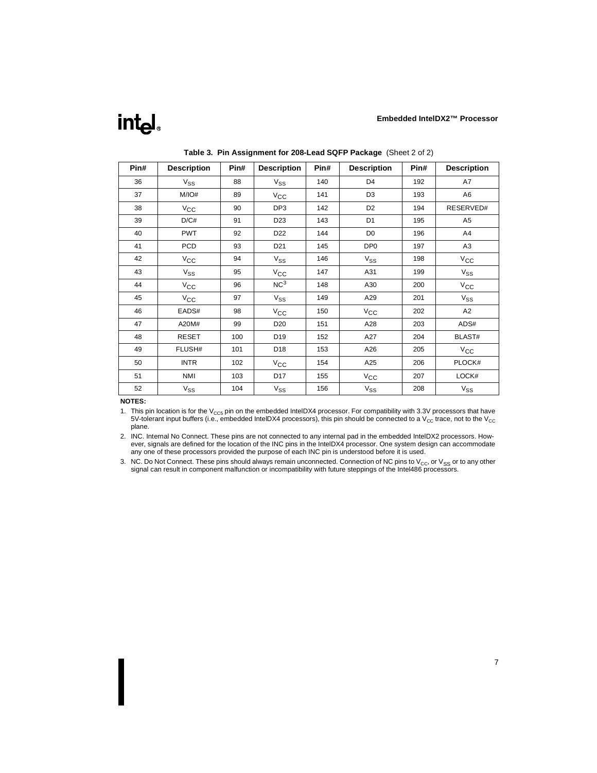## <span id="page-10-0"></span>int<sub>e</sub>l

| Pin# | <b>Description</b> | Pin# | <b>Description</b> | Pin# | <b>Description</b> | Pin# | <b>Description</b> |
|------|--------------------|------|--------------------|------|--------------------|------|--------------------|
| 36   | $V_{SS}$           | 88   | $V_{SS}$           | 140  | D <sub>4</sub>     | 192  | A7                 |
| 37   | M/IO#              | 89   | $V_{\rm CC}$       | 141  | D <sub>3</sub>     | 193  | A <sub>6</sub>     |
| 38   | $V_{\rm CC}$       | 90   | DP3                | 142  | D <sub>2</sub>     | 194  | RESERVED#          |
| 39   | D/C#               | 91   | D <sub>23</sub>    | 143  | D <sub>1</sub>     | 195  | A <sub>5</sub>     |
| 40   | <b>PWT</b>         | 92   | D <sub>22</sub>    | 144  | D <sub>0</sub>     | 196  | A4                 |
| 41   | <b>PCD</b>         | 93   | D <sub>21</sub>    | 145  | DP <sub>0</sub>    | 197  | A <sub>3</sub>     |
| 42   | $V_{\rm CC}$       | 94   | $V_{SS}$           | 146  | $V_{SS}$           | 198  | $V_{\rm CC}$       |
| 43   | $V_{SS}$           | 95   | $V_{\rm CC}$       | 147  | A31                | 199  | $V_{SS}$           |
| 44   | $V_{\rm CC}$       | 96   | NC <sup>3</sup>    | 148  | A30                | 200  | $V_{CC}$           |
| 45   | $V_{\rm CC}$       | 97   | $V_{SS}$           | 149  | A29                | 201  | $V_{SS}$           |
| 46   | EADS#              | 98   | $V_{\rm CC}$       | 150  | $V_{\rm CC}$       | 202  | A <sub>2</sub>     |
| 47   | A20M#              | 99   | D <sub>20</sub>    | 151  | A28                | 203  | ADS#               |
| 48   | <b>RESET</b>       | 100  | D19                | 152  | A27                | 204  | BLAST#             |
| 49   | FLUSH#             | 101  | D18                | 153  | A26                | 205  | $V_{CC}$           |
| 50   | <b>INTR</b>        | 102  | $V_{\rm CC}$       | 154  | A25                | 206  | PLOCK#             |
| 51   | <b>NMI</b>         | 103  | D17                | 155  | $V_{\rm CC}$       | 207  | LOCK#              |
| 52   | $V_{SS}$           | 104  | $V_{SS}$           | 156  | $V_{SS}$           | 208  | $V_{SS}$           |

**Table 3. Pin Assignment for 208-Lead SQFP Package** (Sheet 2 of 2)

#### **NOTES:**

1. This pin location is for the  $V_{CC5}$  pin on the embedded IntelDX4 processor. For compatibility with 3.3V processors that have 5V-tolerant input buffers (i.e., embedded IntelDX4 processors), this pin should be connected to a V<sub>CC</sub> trace, not to the V<sub>CC</sub> plane.

2. INC. Internal No Connect. These pins are not connected to any internal pad in the embedded IntelDX2 processors. However, signals are defined for the location of the INC pins in the IntelDX4 processor. One system design can accommodate any one of these processors provided the purpose of each INC pin is understood before it is used.

3. NC. Do Not Connect. These pins should always remain unconnected. Connection of NC pins to  $V_{CC}$ , or  $V_{SS}$  or to any other signal can result in component malfunction or incompatibility with future steppings of the Intel486 processors.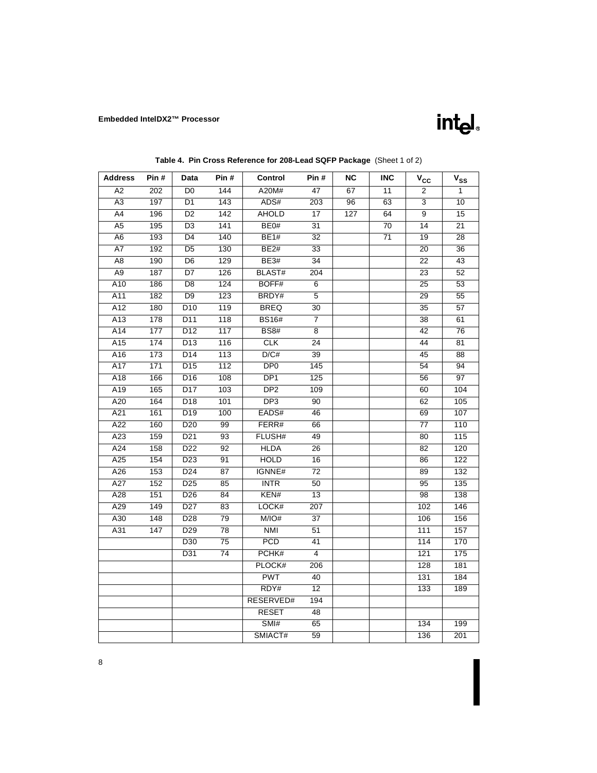

<span id="page-11-0"></span>

| <b>Address</b>  | Pin # | Data             | Pin#             | Control         | Pin #           | ΝC  | INC             | $\mathsf{v}_{\mathsf{cc}}$ | $V_{SS}$        |
|-----------------|-------|------------------|------------------|-----------------|-----------------|-----|-----------------|----------------------------|-----------------|
| $\overline{A2}$ | 202   | $\overline{D0}$  | 144              | A20M#           | 47              | 67  | 11              | 2                          | 1               |
| A3              | 197   | D <sub>1</sub>   | 143              | ADS#            | 203             | 96  | 63              | 3                          | $\overline{10}$ |
| A4              | 196   | D <sub>2</sub>   | 142              | <b>AHOLD</b>    | 17              | 127 | 64              | 9                          | 15              |
| $\overline{A5}$ | 195   | $\overline{D3}$  | 141              | BE0#            | 31              |     | 70              | 14                         | 21              |
| A <sub>6</sub>  | 193   | $\overline{D4}$  | 140              | <b>BE1#</b>     | $\overline{32}$ |     | $\overline{71}$ | 19                         | $\overline{28}$ |
| A7              | 192   | $\overline{D5}$  | 130              | <b>BE2#</b>     | 33              |     |                 | 20                         | 36              |
| A8              | 190   | D <sub>6</sub>   | 129              | <b>BE3#</b>     | 34              |     |                 | 22                         | 43              |
| A <sub>9</sub>  | 187   | D7               | 126              | <b>BLAST#</b>   | 204             |     |                 | 23                         | 52              |
| A10             | 186   | D <sub>8</sub>   | 124              | BOFF#           | $6\overline{6}$ |     |                 | 25                         | 53              |
| A11             | 182   | D <sub>9</sub>   | $\overline{123}$ | BRDY#           | $\overline{5}$  |     |                 | 29                         | 55              |
| A12             | 180   | D <sub>10</sub>  | 119              | <b>BREQ</b>     | 30              |     |                 | 35                         | $\overline{57}$ |
| A13             | 178   | D11              | 118              | <b>BS16#</b>    | $\overline{7}$  |     |                 | 38                         | 61              |
| A14             | 177   | D12              | 117              | <b>BS8#</b>     | 8               |     |                 | 42                         | 76              |
| A15             | 174   | $\overline{D13}$ | 116              | CLK             | $\overline{24}$ |     |                 | 44                         | 81              |
| A16             | 173   | $\overline{D14}$ | 113              | D/C#            | $\overline{39}$ |     |                 | 45                         | $\overline{88}$ |
| A17             | 171   | D <sub>15</sub>  | 112              | DP <sub>0</sub> | 145             |     |                 | 54                         | 94              |
| A18             | 166   | D16              | 108              | DP <sub>1</sub> | 125             |     |                 | 56                         | $\overline{97}$ |
| A19             | 165   | D17              | 103              | DP <sub>2</sub> | 109             |     |                 | 60                         | 104             |
| A20             | 164   | $\overline{D18}$ | 101              | DP3             | 90              |     |                 | 62                         | 105             |
| A21             | 161   | D19              | 100              | EADS#           | 46              |     |                 | 69                         | 107             |
| A22             | 160   | D <sub>20</sub>  | 99               | FERR#           | 66              |     |                 | 77                         | 110             |
| A23             | 159   | D21              | 93               | FLUSH#          | 49              |     |                 | 80                         | 115             |
| A24             | 158   | D22              | 92               | <b>HLDA</b>     | 26              |     |                 | 82                         | 120             |
| A25             | 154   | $\overline{D23}$ | 91               | <b>HOLD</b>     | 16              |     |                 | 86                         | 122             |
| A26             | 153   | $\overline{D24}$ | $\overline{87}$  | IGNNE#          | $\overline{72}$ |     |                 | 89                         | 132             |
| A27             | 152   | D <sub>25</sub>  | 85               | <b>INTR</b>     | 50              |     |                 | 95                         | 135             |
| A28             | 151   | D <sub>26</sub>  | 84               | KEN#            | 13              |     |                 | 98                         | 138             |
| A29             | 149   | D27              | 83               | LOCK#           | 207             |     |                 | 102                        | 146             |
| A30             | 148   | D28              | 79               | M/IO#           | 37              |     |                 | 106                        | 156             |
| A31             | 147   | D <sub>29</sub>  | $\overline{78}$  | <b>NMI</b>      | 51              |     |                 | 111                        | 157             |
|                 |       | D30              | $\overline{75}$  | <b>PCD</b>      | 41              |     |                 | 114                        | 170             |
|                 |       | D31              | 74               | PCHK#           | $\overline{4}$  |     |                 | 121                        | 175             |
|                 |       |                  |                  | PLOCK#          | 206             |     |                 | 128                        | 181             |
|                 |       |                  |                  | <b>PWT</b>      | 40              |     |                 | 131                        | 184             |
|                 |       |                  |                  | RDY#            | $\overline{12}$ |     |                 | 133                        | 189             |
|                 |       |                  |                  | RESERVED#       | 194             |     |                 |                            |                 |
|                 |       |                  |                  | <b>RESET</b>    | 48              |     |                 |                            |                 |
|                 |       |                  |                  | SMI#            | 65              |     |                 | 134                        | 199             |
|                 |       |                  |                  | SMIACT#         | 59              |     |                 | 136                        | 201             |

## **Table 4. Pin Cross Reference for 208-Lead SQFP Package** (Sheet 1 of 2)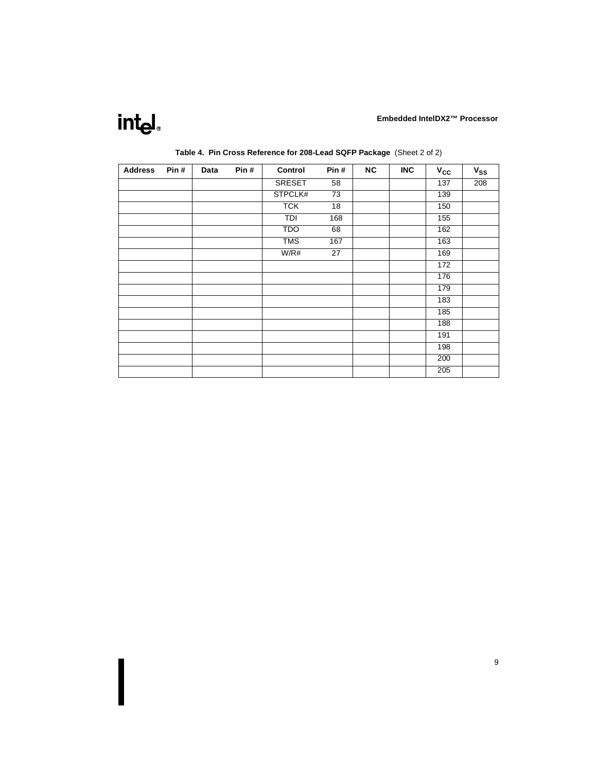## intel.

| <b>Address</b> | Pin# | Data | Pin# | Control       | Pin#            | <b>NC</b> | <b>INC</b> | $V_{CC}$ | $V_{SS}$ |
|----------------|------|------|------|---------------|-----------------|-----------|------------|----------|----------|
|                |      |      |      | <b>SRESET</b> | 58              |           |            | 137      | 208      |
|                |      |      |      | STPCLK#       | $\overline{73}$ |           |            | 139      |          |
|                |      |      |      | <b>TCK</b>    | $\overline{18}$ |           |            | 150      |          |
|                |      |      |      | TDI           | 168             |           |            | 155      |          |
|                |      |      |      | <b>TDO</b>    | 68              |           |            | 162      |          |
|                |      |      |      | <b>TMS</b>    | 167             |           |            | 163      |          |
|                |      |      |      | W/R#          | $\overline{27}$ |           |            | 169      |          |
|                |      |      |      |               |                 |           |            | 172      |          |
|                |      |      |      |               |                 |           |            | 176      |          |
|                |      |      |      |               |                 |           |            | 179      |          |
|                |      |      |      |               |                 |           |            | 183      |          |
|                |      |      |      |               |                 |           |            | 185      |          |
|                |      |      |      |               |                 |           |            | 188      |          |
|                |      |      |      |               |                 |           |            | 191      |          |
|                |      |      |      |               |                 |           |            | 198      |          |
|                |      |      |      |               |                 |           |            | 200      |          |
|                |      |      |      |               |                 |           |            | 205      |          |

### **Table 4. Pin Cross Reference for 208-Lead SQFP Package** (Sheet 2 of 2)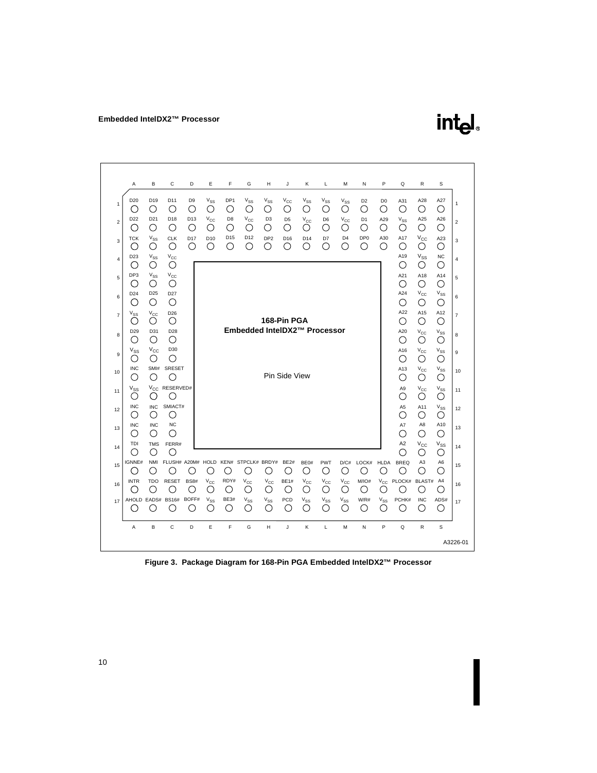

<span id="page-13-0"></span>

**Figure 3. Package Diagram for 168-Pin PGA Embedded IntelDX2™ Processor**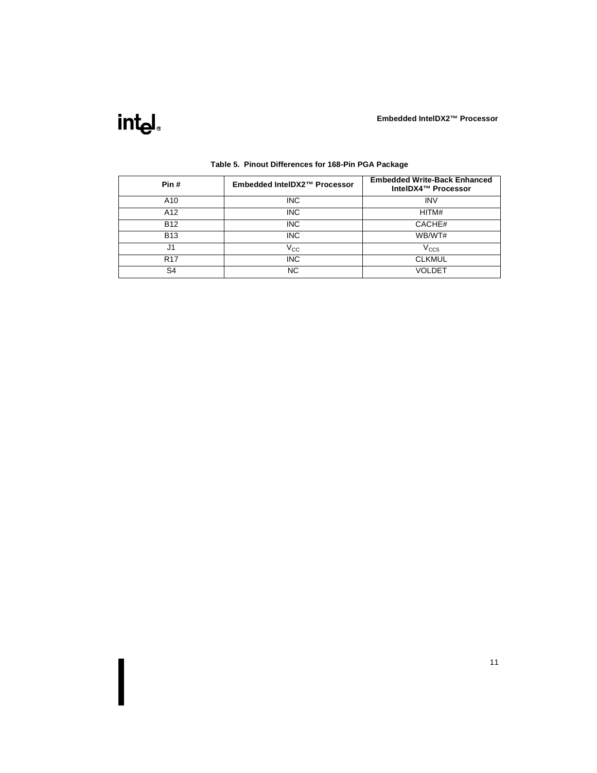<span id="page-14-0"></span>

| Pin#           | Embedded IntelDX2™ Processor | <b>Embedded Write-Back Enhanced</b><br>IntelDX4™ Processor |
|----------------|------------------------------|------------------------------------------------------------|
| A10            | <b>INC</b>                   | <b>INV</b>                                                 |
| A12            | <b>INC</b>                   | HITM#                                                      |
| <b>B12</b>     | <b>INC</b>                   | CACHE#                                                     |
| <b>B13</b>     | <b>INC</b>                   | WB/WT#                                                     |
| J1             | $\rm V_{CC}$                 | V <sub>CC5</sub>                                           |
| <b>R17</b>     | <b>INC</b>                   | <b>CLKMUL</b>                                              |
| S <sub>4</sub> | NC.                          | VOLDET                                                     |

### **Table 5. Pinout Differences for 168-Pin PGA Package**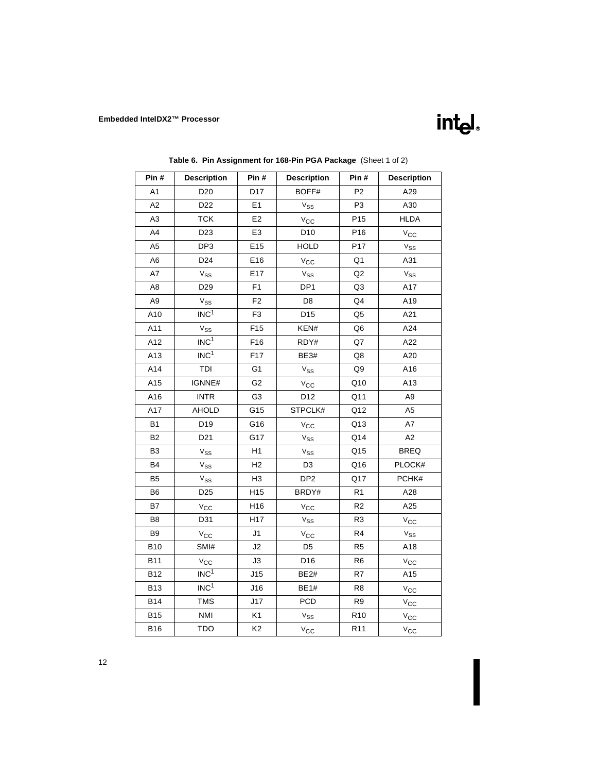<span id="page-15-0"></span>

| Pin #          | <b>Description</b> | Pin#            | <b>Description</b>         | Pin#            | <b>Description</b> |
|----------------|--------------------|-----------------|----------------------------|-----------------|--------------------|
| A1             | D <sub>20</sub>    | D <sub>17</sub> | BOFF#                      | P <sub>2</sub>  | A29                |
| A2             | D <sub>22</sub>    | E1              | $V_{SS}$                   | P <sub>3</sub>  | A30                |
| A3             | <b>TCK</b>         | E <sub>2</sub>  | $V_{\rm CC}$               | P <sub>15</sub> | <b>HLDA</b>        |
| A4             | D <sub>23</sub>    | E <sub>3</sub>  | D <sub>10</sub>            | P <sub>16</sub> | $V_{\rm CC}$       |
| A <sub>5</sub> | DP3                | E15             | <b>HOLD</b>                | P <sub>17</sub> | $V_{SS}$           |
| A6             | D <sub>24</sub>    | E16             | $V_{\rm CC}$               | Q1              | A31                |
| A7             | $V_{SS}$           | E17             | $V_{SS}$                   | Q2              | $V_{SS}$           |
| A8             | D <sub>29</sub>    | F <sub>1</sub>  | DP <sub>1</sub>            | Q3              | A17                |
| A9             | $V_{SS}$           | F <sub>2</sub>  | D <sub>8</sub>             | Q4              | A19                |
| A10            | INC <sup>1</sup>   | F <sub>3</sub>  | D <sub>15</sub>            | Q5              | A21                |
| A11            | $V_{SS}$           | F <sub>15</sub> | KEN#                       | Q6              | A24                |
| A12            | INC <sup>1</sup>   | F16             | RDY#                       | Q7              | A22                |
| A13            | INC <sup>1</sup>   | F17             | <b>BE3#</b>                | Q8              | A20                |
| A14            | TDI                | G <sub>1</sub>  | $V_{SS}$                   | Q9              | A16                |
| A15            | IGNNE#             | G <sub>2</sub>  | $V_{\rm CC}$               | Q10             | A13                |
| A16            | <b>INTR</b>        | G <sub>3</sub>  | D <sub>12</sub>            | Q11             | A9                 |
| A17            | AHOLD              | G15             | STPCLK#                    | Q12             | A <sub>5</sub>     |
| <b>B1</b>      | D19                | G16             | $V_{\rm CC}$               | Q13             | A7                 |
| B <sub>2</sub> | D <sub>21</sub>    | G17             | $\mathrm{V}_{\mathrm{SS}}$ | Q14             | A <sub>2</sub>     |
| B <sub>3</sub> | $V_{SS}$           | H1              | $V_{SS}$                   | Q15             | <b>BREQ</b>        |
| <b>B4</b>      | $V_{SS}$           | H <sub>2</sub>  | D <sub>3</sub>             | Q16             | PLOCK#             |
| B <sub>5</sub> | $V_{SS}$           | H <sub>3</sub>  | DP <sub>2</sub>            | Q17             | PCHK#              |
| B6             | D <sub>25</sub>    | H15             | BRDY#                      | R <sub>1</sub>  | A28                |
| B7             | $V_{\rm CC}$       | H <sub>16</sub> | $V_{\rm CC}$               | R <sub>2</sub>  | A25                |
| B <sub>8</sub> | D31                | H17             | $V_{SS}$                   | R <sub>3</sub>  | $V_{\rm CC}$       |
| B <sub>9</sub> | $V_{\rm CC}$       | J1              | $V_{\rm CC}$               | R4              | $V_{SS}$           |
| <b>B10</b>     | SMI#               | J2              | D <sub>5</sub>             | R <sub>5</sub>  | A18                |
| <b>B11</b>     | $V_{\rm CC}$       | JЗ              | D16                        | R <sub>6</sub>  | $V_{\rm CC}$       |
| <b>B12</b>     | INC <sup>1</sup>   | J15             | <b>BE2#</b>                | R7              | A15                |
| <b>B13</b>     | INC <sup>1</sup>   | J16             | <b>BE1#</b>                | R <sub>8</sub>  | $V_{\text{CC}}$    |
| <b>B14</b>     | <b>TMS</b>         | J17             | <b>PCD</b>                 | R <sub>9</sub>  | $V_{\rm CC}$       |
| <b>B15</b>     | <b>NMI</b>         | K1              | $V_{SS}$                   | R <sub>10</sub> | $V_{\rm CC}$       |

intel.

B16 | TDO | K2 | V<sub>CC</sub> | R11 | V<sub>CC</sub>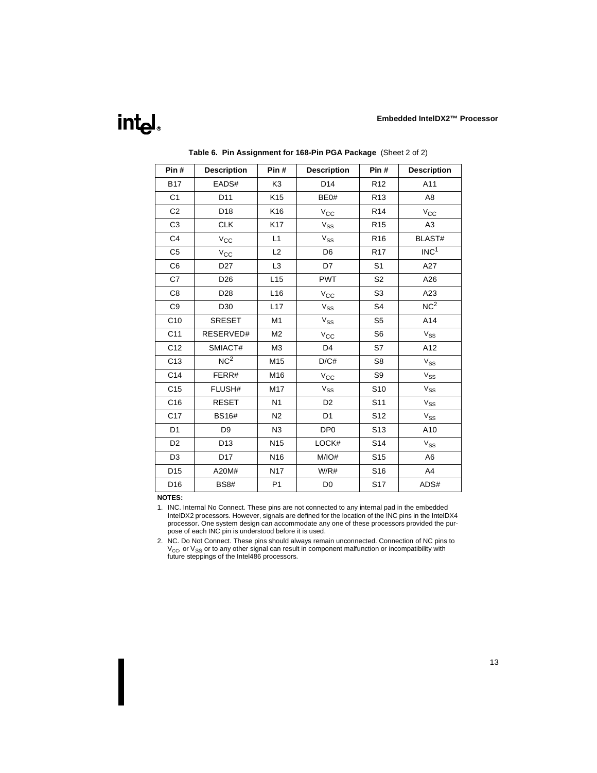<span id="page-16-0"></span>

| Pin#            | <b>Description</b> | Pin#            | <b>Description</b> | Pin#            | <b>Description</b>         |
|-----------------|--------------------|-----------------|--------------------|-----------------|----------------------------|
| <b>B17</b>      | EADS#              | K3              | D <sub>14</sub>    | R <sub>12</sub> | A11                        |
| C <sub>1</sub>  | D <sub>11</sub>    | K <sub>15</sub> | BE0#               | R <sub>13</sub> | A <sub>8</sub>             |
| C <sub>2</sub>  | D <sub>18</sub>    | K16             | $V_{\rm CC}$       | R <sub>14</sub> | $V_{\rm CC}$               |
| C <sub>3</sub>  | <b>CLK</b>         | K17             | $V_{SS}$           | R <sub>15</sub> | A3                         |
| C <sub>4</sub>  | $V_{\rm CC}$       | L1              | $V_{SS}$           | R <sub>16</sub> | <b>BLAST#</b>              |
| C <sub>5</sub>  | $V_{\rm CC}$       | L2              | D <sub>6</sub>     | R <sub>17</sub> | INC <sup>1</sup>           |
| C6              | D <sub>27</sub>    | L <sub>3</sub>  | D7                 | S <sub>1</sub>  | A27                        |
| C7              | D <sub>26</sub>    | L15             | <b>PWT</b>         | S <sub>2</sub>  | A26                        |
| C8              | D <sub>28</sub>    | L <sub>16</sub> | $V_{\rm CC}$       | S <sub>3</sub>  | A23                        |
| C <sub>9</sub>  | D <sub>30</sub>    | L17             | $V_{SS}$           | S <sub>4</sub>  | $NC^2$                     |
| C <sub>10</sub> | <b>SRESET</b>      | M <sub>1</sub>  | $V_{SS}$           | S <sub>5</sub>  | A14                        |
| C <sub>11</sub> | RESERVED#          | M <sub>2</sub>  | $V_{\rm CC}$       | S <sub>6</sub>  | $V_{SS}$                   |
| C <sub>12</sub> | SMIACT#            | M3              | D4                 | S7              | A12                        |
| C13             | NC <sup>2</sup>    | M15             | D/C#               | S <sub>8</sub>  | $V_{SS}$                   |
| C <sub>14</sub> | FERR#              | M16             | $V_{\rm CC}$       | S <sub>9</sub>  | $\mathrm{V}_{\mathrm{SS}}$ |
| C <sub>15</sub> | FLUSH#             | M17             | $V_{SS}$           | S <sub>10</sub> | $V_{SS}$                   |
| C16             | <b>RESET</b>       | N <sub>1</sub>  | D <sub>2</sub>     | S11             | $\mathrm{V}_{\mathrm{SS}}$ |
| C <sub>17</sub> | <b>BS16#</b>       | N <sub>2</sub>  | D <sub>1</sub>     | S <sub>12</sub> | $\mathrm{V}_{\mathrm{SS}}$ |
| D <sub>1</sub>  | D <sub>9</sub>     | N3              | DP <sub>0</sub>    | S13             | A10                        |
| D <sub>2</sub>  | D <sub>13</sub>    | N <sub>15</sub> | LOCK#              | S14             | $\mathrm{V}_{\mathrm{SS}}$ |
| D <sub>3</sub>  | D17                | N <sub>16</sub> | M/IO#              | S <sub>15</sub> | A <sub>6</sub>             |
| D <sub>15</sub> | A20M#              | <b>N17</b>      | W/R#               | S16             | A4                         |
| D <sub>16</sub> | <b>BS8#</b>        | P1              | D <sub>0</sub>     | S17             | ADS#                       |

**Table 6. Pin Assignment for 168-Pin PGA Package** (Sheet 2 of 2)

#### **NOTES:**

1. INC. Internal No Connect. These pins are not connected to any internal pad in the embedded IntelDX2 processors. However, signals are defined for the location of the INC pins in the IntelDX4 processor. One system design can accommodate any one of these processors provided the purpose of each INC pin is understood before it is used.

2. NC. Do Not Connect. These pins should always remain unconnected. Connection of NC pins to  $\rm V_{CC}$ , or  $\rm V_{SS}$  or to any other signal can result in component malfunction or incompatibility with future steppings of the Intel486 processors.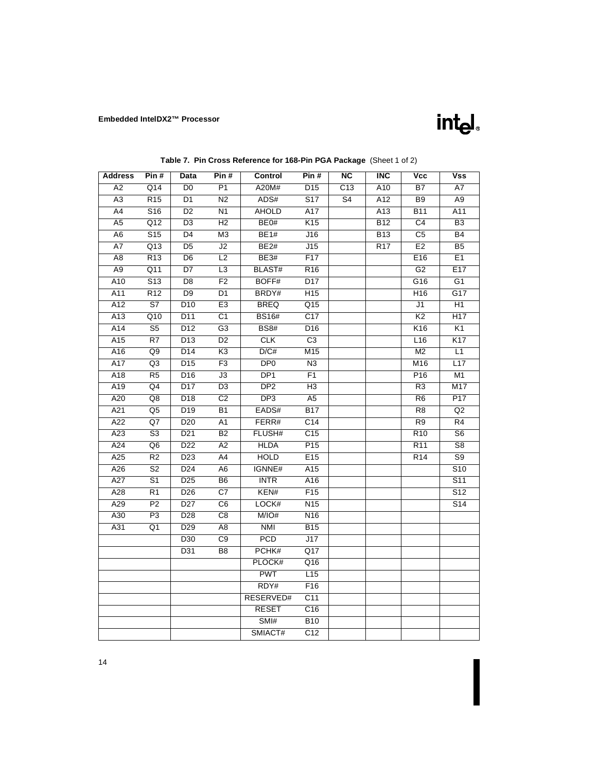

| Table 7. Pin Cross Reference for 168-Pin PGA Package (Sheet 1 of 2) |  |  |  |  |
|---------------------------------------------------------------------|--|--|--|--|
|---------------------------------------------------------------------|--|--|--|--|

<span id="page-17-0"></span>

| <b>Address</b>   | Pin#                     | Data            | Pin#                     | Control          | Pin #            | <b>NC</b>      | <b>INC</b> | Vcc              | Vss                      |
|------------------|--------------------------|-----------------|--------------------------|------------------|------------------|----------------|------------|------------------|--------------------------|
| A <sub>2</sub>   | Q14                      | D <sub>0</sub>  | $\overline{P1}$          | A20M#            | D <sub>15</sub>  | C13            | A10        | B7               | A7                       |
| A3               | R <sub>15</sub>          | D1              | N <sub>2</sub>           | ADS#             | S <sub>17</sub>  | S <sub>4</sub> | A12        | B <sub>9</sub>   | A9                       |
| A4               | S <sub>16</sub>          | D <sub>2</sub>  | N <sub>1</sub>           | <b>AHOLD</b>     | A17              |                | A13        | <b>B11</b>       | A11                      |
| A <sub>5</sub>   | Q12                      | D <sub>3</sub>  | H <sub>2</sub>           | BE <sub>0#</sub> | K <sub>15</sub>  |                | <b>B12</b> | C <sub>4</sub>   | B <sub>3</sub>           |
| A6               | S <sub>15</sub>          | $\overline{D4}$ | $\overline{\mathsf{M}3}$ | BE1#             | J16              |                | <b>B13</b> | $\overline{C5}$  | $\overline{B4}$          |
| $\overline{A7}$  | Q13                      | $\overline{D5}$ | J2                       | BE2#             | J15              |                | <b>R17</b> | E2               | $\overline{B5}$          |
| A <sub>8</sub>   | R13                      | D <sub>6</sub>  | L2                       | BE3#             | F17              |                |            | E16              | E1                       |
| $\overline{A9}$  | $\overline{Q11}$         | $\overline{D7}$ | $\overline{\mathsf{L3}}$ | <b>BLAST#</b>    | R16              |                |            | G <sub>2</sub>   | E17                      |
| A10              | $\overline{S13}$         | $\overline{D8}$ | F2                       | BOFF#            | D17              |                |            | G16              | $\overline{G1}$          |
| A11              | R12                      | $\overline{D9}$ | $\overline{D1}$          | BRDY#            | H15              |                |            | H <sub>16</sub>  | $\overline{G17}$         |
| A12              | S7                       | D <sub>10</sub> | E <sub>3</sub>           | <b>BREQ</b>      | Q15              |                |            | J1               | H1                       |
| A13              | Q10                      | D11             | C <sub>1</sub>           | <b>BS16#</b>     | C <sub>17</sub>  |                |            | K <sub>2</sub>   | H17                      |
| A14              | S <sub>5</sub>           | D <sub>12</sub> | G <sub>3</sub>           | <b>BS8#</b>      | D <sub>16</sub>  |                |            | K <sub>16</sub>  | K <sub>1</sub>           |
| A15              | R7                       | D <sub>13</sub> | $\overline{D2}$          | <b>CLK</b>       | C3               |                |            | L16              | K <sub>17</sub>          |
| A16              | Q9                       | D14             | K3                       | D/C#             | M15              |                |            | M <sub>2</sub>   | L1                       |
| A17              | Q3                       | D <sub>15</sub> | F3                       | DP <sub>0</sub>  | $\overline{N3}$  |                |            | M16              | L17                      |
| A18              | R <sub>5</sub>           | D <sub>16</sub> | $\overline{J3}$          | DP <sub>1</sub>  | F1               |                |            | P <sub>16</sub>  | M1                       |
| A19              | $\overline{Q4}$          | D17             | $\overline{D3}$          | DP <sub>2</sub>  | $\overline{H}$   |                |            | R3               | M17                      |
| A20              | Q8                       | D <sub>18</sub> | C <sub>2</sub>           | DP <sub>3</sub>  | A <sub>5</sub>   |                |            | R <sub>6</sub>   | P17                      |
| A21              | Q <sub>5</sub>           | D19             | $\overline{B1}$          | EADS#            | $\overline{B17}$ |                |            | $\overline{R8}$  | $\overline{Q}$           |
| A22              | Q7                       | D <sub>20</sub> | A1                       | FERR#            | $\overline{C14}$ |                |            | R <sub>9</sub>   | $\overline{R4}$          |
| $\overline{A23}$ | $\overline{\mathsf{S}3}$ | D21             | $\overline{B2}$          | FLUSH#           | C <sub>15</sub>  |                |            | $\overline{R10}$ | $\overline{\mathsf{S6}}$ |
| A24              | Q <sub>6</sub>           | D <sub>22</sub> | A <sub>2</sub>           | <b>HLDA</b>      | P15              |                |            | R <sub>11</sub>  | S8                       |
| A25              | $\overline{R2}$          | D23             | A4                       | <b>HOLD</b>      | E15              |                |            | R <sub>14</sub>  | $\overline{S9}$          |
| A26              | S <sub>2</sub>           | D <sub>24</sub> | A6                       | IGNNE#           | A15              |                |            |                  | S <sub>10</sub>          |
| A27              | $\overline{S1}$          | D <sub>25</sub> | B <sub>6</sub>           | <b>INTR</b>      | A16              |                |            |                  | S11                      |
| A28              | R <sub>1</sub>           | D <sub>26</sub> | C7                       | KEN#             | F <sub>15</sub>  |                |            |                  | S <sub>12</sub>          |
| A29              | P <sub>2</sub>           | D <sub>27</sub> | C <sub>6</sub>           | LOCK#            | N <sub>15</sub>  |                |            |                  | S <sub>14</sub>          |
| A30              | P3                       | D <sub>28</sub> | C8                       | M/IO#            | N <sub>16</sub>  |                |            |                  |                          |
| A31              | Q1                       | D <sub>29</sub> | A8                       | <b>NMI</b>       | <b>B15</b>       |                |            |                  |                          |
|                  |                          | D30             | C9                       | <b>PCD</b>       | J17              |                |            |                  |                          |
|                  |                          | D31             | B <sub>8</sub>           | PCHK#            | Q17              |                |            |                  |                          |
|                  |                          |                 |                          | PLOCK#           | Q16              |                |            |                  |                          |
|                  |                          |                 |                          | <b>PWT</b>       | L15              |                |            |                  |                          |
|                  |                          |                 |                          | RDY#             | F16              |                |            |                  |                          |
|                  |                          |                 |                          | <b>RESERVED#</b> | C <sub>11</sub>  |                |            |                  |                          |
|                  |                          |                 |                          | <b>RESET</b>     | C16              |                |            |                  |                          |
|                  |                          |                 |                          | SMI#             | <b>B10</b>       |                |            |                  |                          |
|                  |                          |                 |                          | SMIACT#          | $\overline{C12}$ |                |            |                  |                          |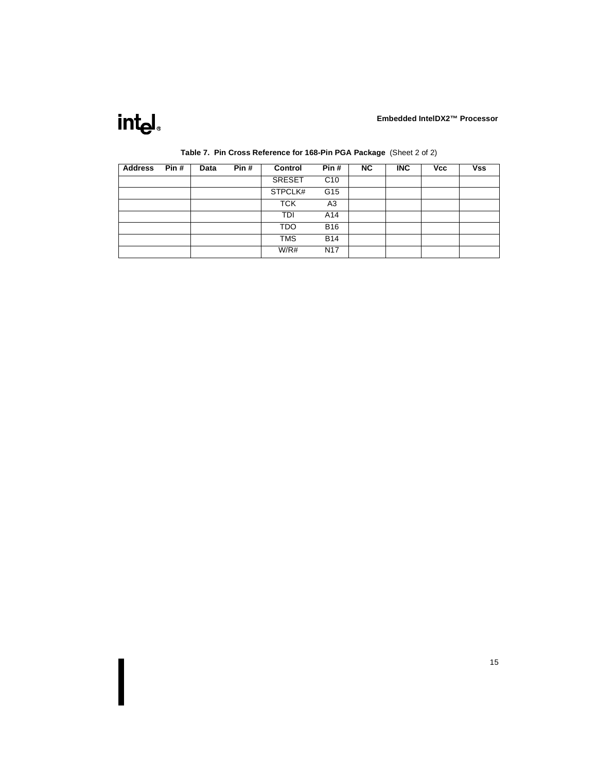# intel.

| <b>Address</b> | Pin# | Data | Pin# | Control       | Pin#            | <b>NC</b> | <b>INC</b> | <b>Vcc</b> | <b>Vss</b> |
|----------------|------|------|------|---------------|-----------------|-----------|------------|------------|------------|
|                |      |      |      | <b>SRESET</b> | C10             |           |            |            |            |
|                |      |      |      | STPCLK#       | G15             |           |            |            |            |
|                |      |      |      | <b>TCK</b>    | A3              |           |            |            |            |
|                |      |      |      | TDI           | A14             |           |            |            |            |
|                |      |      |      | <b>TDO</b>    | <b>B16</b>      |           |            |            |            |
|                |      |      |      | <b>TMS</b>    | <b>B14</b>      |           |            |            |            |
|                |      |      |      | W/R#          | N <sub>17</sub> |           |            |            |            |

### **Table 7. Pin Cross Reference for 168-Pin PGA Package** (Sheet 2 of 2)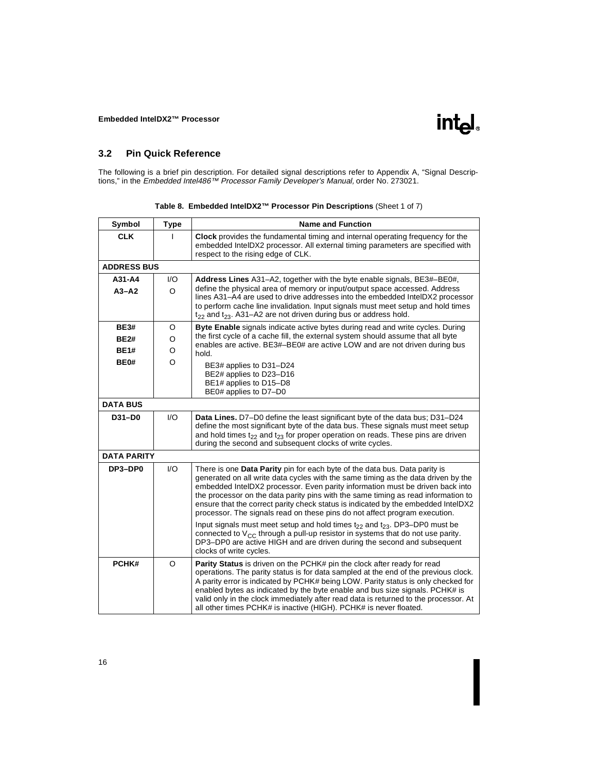### <span id="page-19-0"></span>**3.2 Pin Quick Reference**

The following is a brief pin description. For detailed signal descriptions refer to Appendix A, "Signal Descriptions," in the *Embedded Intel486™ Processor Family Developer's Manual,* order No. 273021.

| Symbol             | <b>Type</b>            | <b>Name and Function</b>                                                                                                                                                                                                                                                                                                                                                                                                                                                                                                                                                                                |
|--------------------|------------------------|---------------------------------------------------------------------------------------------------------------------------------------------------------------------------------------------------------------------------------------------------------------------------------------------------------------------------------------------------------------------------------------------------------------------------------------------------------------------------------------------------------------------------------------------------------------------------------------------------------|
| <b>CLK</b>         |                        | Clock provides the fundamental timing and internal operating frequency for the<br>embedded IntelDX2 processor. All external timing parameters are specified with<br>respect to the rising edge of CLK.                                                                                                                                                                                                                                                                                                                                                                                                  |
| <b>ADDRESS BUS</b> |                        |                                                                                                                                                                                                                                                                                                                                                                                                                                                                                                                                                                                                         |
| A31-A4             | $\mathsf{U}\mathsf{O}$ | Address Lines A31–A2, together with the byte enable signals, BE3#–BE0#,                                                                                                                                                                                                                                                                                                                                                                                                                                                                                                                                 |
| $A3 - A2$          | $\circ$                | define the physical area of memory or input/output space accessed. Address<br>lines A31-A4 are used to drive addresses into the embedded IntelDX2 processor<br>to perform cache line invalidation. Input signals must meet setup and hold times<br>$t_{22}$ and $t_{23}$ . A31-A2 are not driven during bus or address hold.                                                                                                                                                                                                                                                                            |
| <b>BE3#</b>        | O                      | <b>Byte Enable</b> signals indicate active bytes during read and write cycles. During                                                                                                                                                                                                                                                                                                                                                                                                                                                                                                                   |
| <b>BE2#</b>        | O                      | the first cycle of a cache fill, the external system should assume that all byte<br>enables are active. BE3#-BE0# are active LOW and are not driven during bus                                                                                                                                                                                                                                                                                                                                                                                                                                          |
| <b>BE1#</b>        | O                      | hold.                                                                                                                                                                                                                                                                                                                                                                                                                                                                                                                                                                                                   |
| BE0#               | O                      | BE3# applies to D31-D24<br>BE2# applies to D23-D16<br>BE1# applies to D15-D8<br>BE0# applies to D7-D0                                                                                                                                                                                                                                                                                                                                                                                                                                                                                                   |
| <b>DATA BUS</b>    |                        |                                                                                                                                                                                                                                                                                                                                                                                                                                                                                                                                                                                                         |
| D31-D0             | $\mathsf{U}\mathsf{O}$ | <b>Data Lines.</b> D7-D0 define the least significant byte of the data bus; D31-D24<br>define the most significant byte of the data bus. These signals must meet setup<br>and hold times $t_{22}$ and $t_{23}$ for proper operation on reads. These pins are driven<br>during the second and subsequent clocks of write cycles.                                                                                                                                                                                                                                                                         |
| <b>DATA PARITY</b> |                        |                                                                                                                                                                                                                                                                                                                                                                                                                                                                                                                                                                                                         |
| DP3-DP0            | $\mathsf{U}\mathsf{O}$ | There is one <b>Data Parity</b> pin for each byte of the data bus. Data parity is<br>generated on all write data cycles with the same timing as the data driven by the<br>embedded IntelDX2 processor. Even parity information must be driven back into<br>the processor on the data parity pins with the same timing as read information to<br>ensure that the correct parity check status is indicated by the embedded IntelDX2<br>processor. The signals read on these pins do not affect program execution.<br>Input signals must meet setup and hold times $t_{22}$ and $t_{23}$ . DP3-DP0 must be |
|                    |                        | connected to $V_{CC}$ through a pull-up resistor in systems that do not use parity.<br>DP3-DP0 are active HIGH and are driven during the second and subsequent<br>clocks of write cycles.                                                                                                                                                                                                                                                                                                                                                                                                               |
| PCHK#              | O                      | <b>Parity Status</b> is driven on the PCHK# pin the clock after ready for read<br>operations. The parity status is for data sampled at the end of the previous clock.<br>A parity error is indicated by PCHK# being LOW. Parity status is only checked for<br>enabled bytes as indicated by the byte enable and bus size signals. PCHK# is<br>valid only in the clock immediately after read data is returned to the processor. At<br>all other times PCHK# is inactive (HIGH). PCHK# is never floated.                                                                                                 |

#### **Table 8. Embedded IntelDX2™ Processor Pin Descriptions** (Sheet 1 of 7)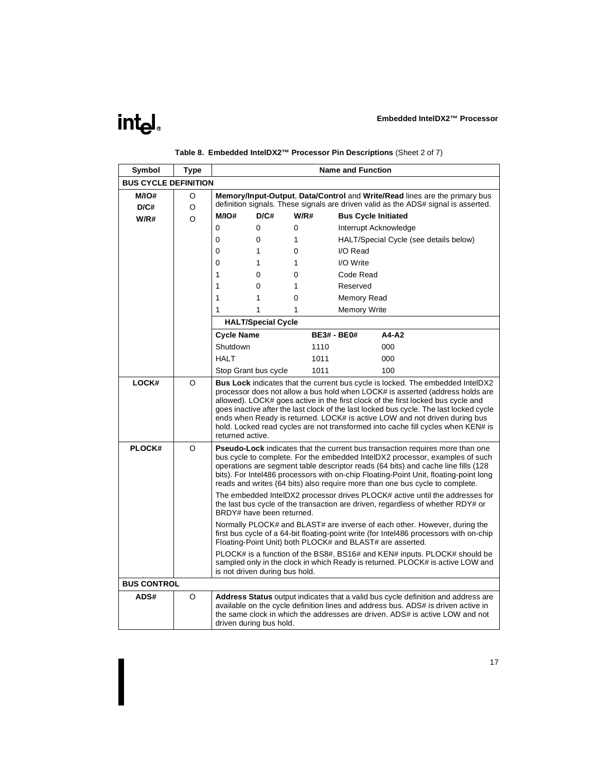## intel.

| Symbol                      | Type |                                                                                                                                                                                                                                                                                                                                                                                                                                                                                                                                            |                           |      |      | <b>Name and Function</b>   |                                                                                                                                                                                                                                                        |
|-----------------------------|------|--------------------------------------------------------------------------------------------------------------------------------------------------------------------------------------------------------------------------------------------------------------------------------------------------------------------------------------------------------------------------------------------------------------------------------------------------------------------------------------------------------------------------------------------|---------------------------|------|------|----------------------------|--------------------------------------------------------------------------------------------------------------------------------------------------------------------------------------------------------------------------------------------------------|
| <b>BUS CYCLE DEFINITION</b> |      |                                                                                                                                                                                                                                                                                                                                                                                                                                                                                                                                            |                           |      |      |                            |                                                                                                                                                                                                                                                        |
| M/IO#                       | O    |                                                                                                                                                                                                                                                                                                                                                                                                                                                                                                                                            |                           |      |      |                            | Memory/Input-Output, Data/Control and Write/Read lines are the primary bus                                                                                                                                                                             |
| D/C#                        | O    |                                                                                                                                                                                                                                                                                                                                                                                                                                                                                                                                            |                           |      |      |                            | definition signals. These signals are driven valid as the ADS# signal is asserted.                                                                                                                                                                     |
| W/R#                        | O    | M/IO#                                                                                                                                                                                                                                                                                                                                                                                                                                                                                                                                      | D/C#                      | W/R# |      | <b>Bus Cycle Initiated</b> |                                                                                                                                                                                                                                                        |
|                             |      | $\Omega$                                                                                                                                                                                                                                                                                                                                                                                                                                                                                                                                   | $\mathbf{0}$              | 0    |      | Interrupt Acknowledge      |                                                                                                                                                                                                                                                        |
|                             |      | $\Omega$                                                                                                                                                                                                                                                                                                                                                                                                                                                                                                                                   | $\mathbf{0}$              | 1    |      |                            | HALT/Special Cycle (see details below)                                                                                                                                                                                                                 |
|                             |      | $\Omega$                                                                                                                                                                                                                                                                                                                                                                                                                                                                                                                                   | 1                         | 0    |      | I/O Read                   |                                                                                                                                                                                                                                                        |
|                             |      | 0                                                                                                                                                                                                                                                                                                                                                                                                                                                                                                                                          | 1                         | 1    |      | I/O Write                  |                                                                                                                                                                                                                                                        |
|                             |      | 1                                                                                                                                                                                                                                                                                                                                                                                                                                                                                                                                          | $\Omega$                  | 0    |      | Code Read                  |                                                                                                                                                                                                                                                        |
|                             |      | 1                                                                                                                                                                                                                                                                                                                                                                                                                                                                                                                                          | 0                         | 1    |      | Reserved                   |                                                                                                                                                                                                                                                        |
|                             |      | 1                                                                                                                                                                                                                                                                                                                                                                                                                                                                                                                                          | 1                         | 0    |      | Memory Read                |                                                                                                                                                                                                                                                        |
|                             |      | 1                                                                                                                                                                                                                                                                                                                                                                                                                                                                                                                                          | 1                         | 1    |      | <b>Memory Write</b>        |                                                                                                                                                                                                                                                        |
|                             |      |                                                                                                                                                                                                                                                                                                                                                                                                                                                                                                                                            | <b>HALT/Special Cycle</b> |      |      |                            |                                                                                                                                                                                                                                                        |
|                             |      | <b>Cycle Name</b>                                                                                                                                                                                                                                                                                                                                                                                                                                                                                                                          |                           |      |      | <b>BE3# - BE0#</b>         | A4-A2                                                                                                                                                                                                                                                  |
|                             |      | Shutdown                                                                                                                                                                                                                                                                                                                                                                                                                                                                                                                                   |                           |      | 1110 |                            | 000                                                                                                                                                                                                                                                    |
|                             |      | <b>HALT</b>                                                                                                                                                                                                                                                                                                                                                                                                                                                                                                                                |                           |      | 1011 |                            | 000                                                                                                                                                                                                                                                    |
|                             |      |                                                                                                                                                                                                                                                                                                                                                                                                                                                                                                                                            | Stop Grant bus cycle      |      | 1011 |                            | 100                                                                                                                                                                                                                                                    |
| LOCK#                       | O    | <b>Bus Lock</b> indicates that the current bus cycle is locked. The embedded IntelDX2<br>processor does not allow a bus hold when LOCK# is asserted (address holds are<br>allowed). LOCK# goes active in the first clock of the first locked bus cycle and<br>goes inactive after the last clock of the last locked bus cycle. The last locked cycle<br>ends when Ready is returned. LOCK# is active LOW and not driven during bus<br>hold. Locked read cycles are not transformed into cache fill cycles when KEN# is<br>returned active. |                           |      |      |                            |                                                                                                                                                                                                                                                        |
| PLOCK#                      | O    | <b>Pseudo-Lock</b> indicates that the current bus transaction requires more than one<br>bus cycle to complete. For the embedded IntelDX2 processor, examples of such<br>operations are segment table descriptor reads (64 bits) and cache line fills (128<br>bits). For Intel486 processors with on-chip Floating-Point Unit, floating-point long<br>reads and writes (64 bits) also require more than one bus cycle to complete.<br>The embedded IntelDX2 processor drives PLOCK# active until the addresses for                          |                           |      |      |                            |                                                                                                                                                                                                                                                        |
|                             |      | the last bus cycle of the transaction are driven, regardless of whether RDY# or<br>BRDY# have been returned.                                                                                                                                                                                                                                                                                                                                                                                                                               |                           |      |      |                            |                                                                                                                                                                                                                                                        |
|                             |      | Normally PLOCK# and BLAST# are inverse of each other. However, during the<br>first bus cycle of a 64-bit floating-point write (for Intel486 processors with on-chip<br>Floating-Point Unit) both PLOCK# and BLAST# are asserted.                                                                                                                                                                                                                                                                                                           |                           |      |      |                            |                                                                                                                                                                                                                                                        |
|                             |      | PLOCK# is a function of the BS8#, BS16# and KEN# inputs. PLOCK# should be<br>sampled only in the clock in which Ready is returned. PLOCK# is active LOW and<br>is not driven during bus hold.                                                                                                                                                                                                                                                                                                                                              |                           |      |      |                            |                                                                                                                                                                                                                                                        |
| <b>BUS CONTROL</b>          |      |                                                                                                                                                                                                                                                                                                                                                                                                                                                                                                                                            |                           |      |      |                            |                                                                                                                                                                                                                                                        |
| <b>ADS#</b>                 | O    |                                                                                                                                                                                                                                                                                                                                                                                                                                                                                                                                            | driven during bus hold.   |      |      |                            | Address Status output indicates that a valid bus cycle definition and address are<br>available on the cycle definition lines and address bus. ADS# is driven active in<br>the same clock in which the addresses are driven. ADS# is active LOW and not |

## **Table 8. Embedded IntelDX2™ Processor Pin Descriptions** (Sheet 2 of 7)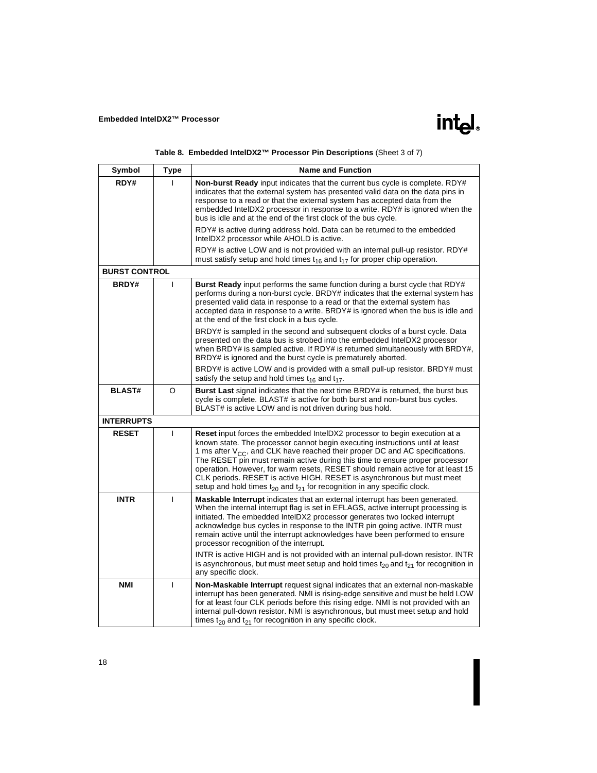| Table 8. Embedded IntelDX2™ Processor Pin Descriptions (Sheet 3 of 7) |  |
|-----------------------------------------------------------------------|--|
|                                                                       |  |

| Symbol               | <b>Type</b>  | <b>Name and Function</b>                                                                                                                                                                                                                                                                                                                                                                                                                                                                                                                                                                                                                                                  |
|----------------------|--------------|---------------------------------------------------------------------------------------------------------------------------------------------------------------------------------------------------------------------------------------------------------------------------------------------------------------------------------------------------------------------------------------------------------------------------------------------------------------------------------------------------------------------------------------------------------------------------------------------------------------------------------------------------------------------------|
| RDY#                 |              | <b>Non-burst Ready</b> input indicates that the current bus cycle is complete. RDY#<br>indicates that the external system has presented valid data on the data pins in<br>response to a read or that the external system has accepted data from the<br>embedded IntelDX2 processor in response to a write. RDY# is ignored when the<br>bus is idle and at the end of the first clock of the bus cycle.                                                                                                                                                                                                                                                                    |
|                      |              | RDY# is active during address hold. Data can be returned to the embedded<br>IntelDX2 processor while AHOLD is active.                                                                                                                                                                                                                                                                                                                                                                                                                                                                                                                                                     |
|                      |              | RDY# is active LOW and is not provided with an internal pull-up resistor. RDY#<br>must satisfy setup and hold times $t_{16}$ and $t_{17}$ for proper chip operation.                                                                                                                                                                                                                                                                                                                                                                                                                                                                                                      |
| <b>BURST CONTROL</b> |              |                                                                                                                                                                                                                                                                                                                                                                                                                                                                                                                                                                                                                                                                           |
| BRDY#                | T            | <b>Burst Ready</b> input performs the same function during a burst cycle that RDY#<br>performs during a non-burst cycle. BRDY# indicates that the external system has<br>presented valid data in response to a read or that the external system has<br>accepted data in response to a write. BRDY# is ignored when the bus is idle and<br>at the end of the first clock in a bus cycle.                                                                                                                                                                                                                                                                                   |
|                      |              | BRDY# is sampled in the second and subsequent clocks of a burst cycle. Data<br>presented on the data bus is strobed into the embedded IntelDX2 processor<br>when BRDY# is sampled active. If RDY# is returned simultaneously with BRDY#,<br>BRDY# is ignored and the burst cycle is prematurely aborted.                                                                                                                                                                                                                                                                                                                                                                  |
|                      |              | BRDY# is active LOW and is provided with a small pull-up resistor. BRDY# must<br>satisfy the setup and hold times $t_{16}$ and $t_{17}$ .                                                                                                                                                                                                                                                                                                                                                                                                                                                                                                                                 |
| <b>BLAST#</b>        | O            | <b>Burst Last</b> signal indicates that the next time BRDY# is returned, the burst bus<br>cycle is complete. BLAST# is active for both burst and non-burst bus cycles.<br>BLAST# is active LOW and is not driven during bus hold.                                                                                                                                                                                                                                                                                                                                                                                                                                         |
| <b>INTERRUPTS</b>    |              |                                                                                                                                                                                                                                                                                                                                                                                                                                                                                                                                                                                                                                                                           |
| <b>RESET</b>         | T            | <b>Reset</b> input forces the embedded IntelDX2 processor to begin execution at a<br>known state. The processor cannot begin executing instructions until at least<br>1 ms after $V_{CC}$ , and CLK have reached their proper DC and AC specifications.<br>The RESET pin must remain active during this time to ensure proper processor<br>operation. However, for warm resets, RESET should remain active for at least 15<br>CLK periods. RESET is active HIGH. RESET is asynchronous but must meet<br>setup and hold times $t_{20}$ and $t_{21}$ for recognition in any specific clock.                                                                                 |
| <b>INTR</b>          | $\mathbf{I}$ | <b>Maskable Interrupt</b> indicates that an external interrupt has been generated.<br>When the internal interrupt flag is set in EFLAGS, active interrupt processing is<br>initiated. The embedded IntelDX2 processor generates two locked interrupt<br>acknowledge bus cycles in response to the INTR pin going active. INTR must<br>remain active until the interrupt acknowledges have been performed to ensure<br>processor recognition of the interrupt.<br>INTR is active HIGH and is not provided with an internal pull-down resistor. INTR<br>is asynchronous, but must meet setup and hold times $t_{20}$ and $t_{21}$ for recognition in<br>any specific clock. |
| <b>NMI</b>           | T            | Non-Maskable Interrupt request signal indicates that an external non-maskable<br>interrupt has been generated. NMI is rising-edge sensitive and must be held LOW<br>for at least four CLK periods before this rising edge. NMI is not provided with an<br>internal pull-down resistor. NMI is asynchronous, but must meet setup and hold<br>times $t_{20}$ and $t_{21}$ for recognition in any specific clock.                                                                                                                                                                                                                                                            |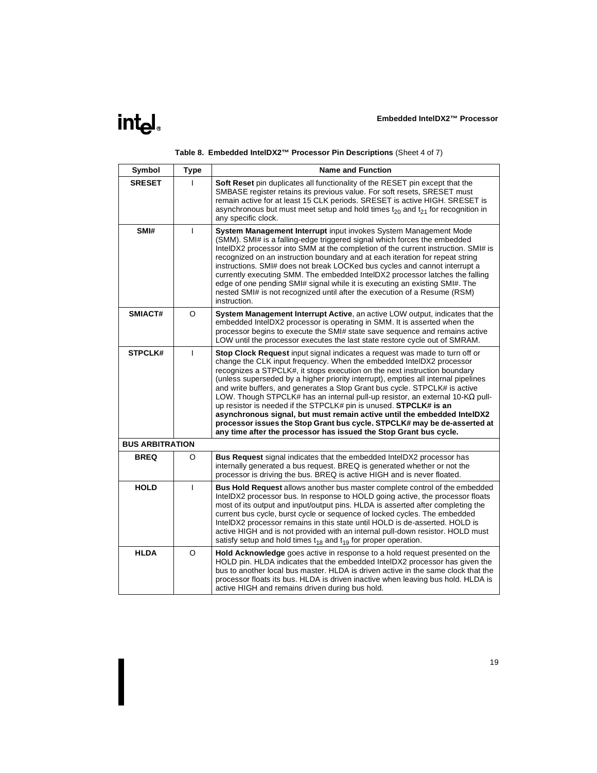|  | Table 8. Embedded IntelDX2™ Processor Pin Descriptions (Sheet 4 of 7) |  |  |  |
|--|-----------------------------------------------------------------------|--|--|--|
|--|-----------------------------------------------------------------------|--|--|--|

| Symbol                 | <b>Type</b>  | <b>Name and Function</b>                                                                                                                                                                                                                                                                                                                                                                                                                                                                                                                                                                                                                                                                                                                                                                       |
|------------------------|--------------|------------------------------------------------------------------------------------------------------------------------------------------------------------------------------------------------------------------------------------------------------------------------------------------------------------------------------------------------------------------------------------------------------------------------------------------------------------------------------------------------------------------------------------------------------------------------------------------------------------------------------------------------------------------------------------------------------------------------------------------------------------------------------------------------|
| <b>SRESET</b>          |              | <b>Soft Reset</b> pin duplicates all functionality of the RESET pin except that the<br>SMBASE register retains its previous value. For soft resets, SRESET must<br>remain active for at least 15 CLK periods. SRESET is active HIGH. SRESET is<br>asynchronous but must meet setup and hold times $t_{20}$ and $t_{21}$ for recognition in<br>any specific clock.                                                                                                                                                                                                                                                                                                                                                                                                                              |
| SMI#                   | $\mathbf{I}$ | System Management Interrupt input invokes System Management Mode<br>(SMM). SMI# is a falling-edge triggered signal which forces the embedded<br>IntelDX2 processor into SMM at the completion of the current instruction. SMI# is<br>recognized on an instruction boundary and at each iteration for repeat string<br>instructions. SMI# does not break LOCKed bus cycles and cannot interrupt a<br>currently executing SMM. The embedded IntelDX2 processor latches the falling<br>edge of one pending SMI# signal while it is executing an existing SMI#. The<br>nested SMI# is not recognized until after the execution of a Resume (RSM)<br>instruction.                                                                                                                                   |
| SMIACT#                | O            | System Management Interrupt Active, an active LOW output, indicates that the<br>embedded IntelDX2 processor is operating in SMM. It is asserted when the<br>processor begins to execute the SMI# state save sequence and remains active<br>LOW until the processor executes the last state restore cycle out of SMRAM.                                                                                                                                                                                                                                                                                                                                                                                                                                                                         |
| <b>STPCLK#</b>         | $\mathbf{I}$ | Stop Clock Request input signal indicates a request was made to turn off or<br>change the CLK input frequency. When the embedded IntelDX2 processor<br>recognizes a STPCLK#, it stops execution on the next instruction boundary<br>(unless superseded by a higher priority interrupt), empties all internal pipelines<br>and write buffers, and generates a Stop Grant bus cycle. STPCLK# is active<br>LOW. Though STPCLK# has an internal pull-up resistor, an external 10-K $\Omega$ pull-<br>up resistor is needed if the STPCLK# pin is unused. STPCLK# is an<br>asynchronous signal, but must remain active until the embedded IntelDX2<br>processor issues the Stop Grant bus cycle. STPCLK# may be de-asserted at<br>any time after the processor has issued the Stop Grant bus cycle. |
| <b>BUS ARBITRATION</b> |              |                                                                                                                                                                                                                                                                                                                                                                                                                                                                                                                                                                                                                                                                                                                                                                                                |
| <b>BREQ</b>            | O            | <b>Bus Request</b> signal indicates that the embedded IntelDX2 processor has<br>internally generated a bus request. BREQ is generated whether or not the<br>processor is driving the bus. BREQ is active HIGH and is never floated.                                                                                                                                                                                                                                                                                                                                                                                                                                                                                                                                                            |
| <b>HOLD</b>            | $\mathbf{I}$ | <b>Bus Hold Request</b> allows another bus master complete control of the embedded<br>IntelDX2 processor bus. In response to HOLD going active, the processor floats<br>most of its output and input/output pins. HLDA is asserted after completing the<br>current bus cycle, burst cycle or sequence of locked cycles. The embedded<br>IntelDX2 processor remains in this state until HOLD is de-asserted. HOLD is<br>active HIGH and is not provided with an internal pull-down resistor. HOLD must<br>satisfy setup and hold times $t_{18}$ and $t_{19}$ for proper operation.                                                                                                                                                                                                              |
| <b>HLDA</b>            | O            | Hold Acknowledge goes active in response to a hold request presented on the<br>HOLD pin. HLDA indicates that the embedded IntelDX2 processor has given the<br>bus to another local bus master. HLDA is driven active in the same clock that the<br>processor floats its bus. HLDA is driven inactive when leaving bus hold. HLDA is<br>active HIGH and remains driven during bus hold.                                                                                                                                                                                                                                                                                                                                                                                                         |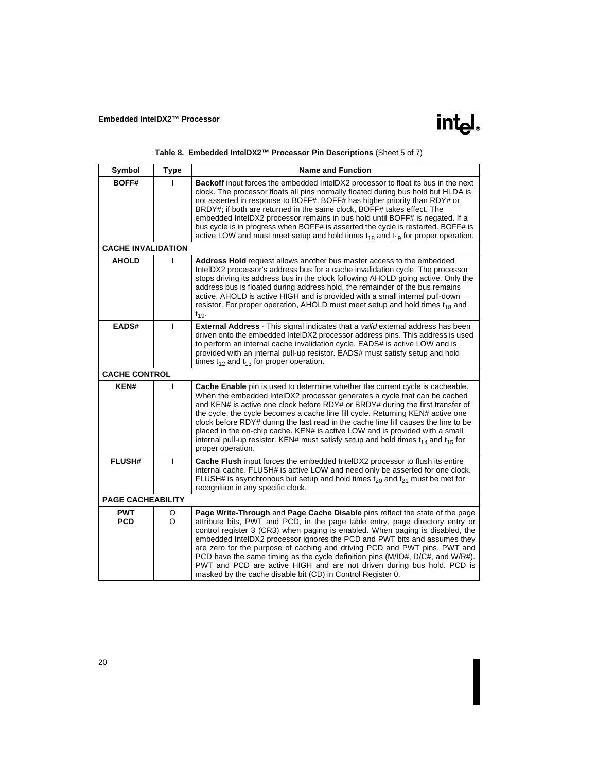| Table 8. Embedded IntelDX2™ Processor Pin Descriptions (Sheet 5 of 7) |  |  |  |  |  |
|-----------------------------------------------------------------------|--|--|--|--|--|
|-----------------------------------------------------------------------|--|--|--|--|--|

| Symbol                    | <b>Type</b>  | <b>Name and Function</b>                                                                                                                                                                                                                                                                                                                                                                                                                                                                                                                                                                                                            |
|---------------------------|--------------|-------------------------------------------------------------------------------------------------------------------------------------------------------------------------------------------------------------------------------------------------------------------------------------------------------------------------------------------------------------------------------------------------------------------------------------------------------------------------------------------------------------------------------------------------------------------------------------------------------------------------------------|
| <b>BOFF#</b>              |              | <b>Backoff</b> input forces the embedded IntelDX2 processor to float its bus in the next<br>clock. The processor floats all pins normally floated during bus hold but HLDA is<br>not asserted in response to BOFF#. BOFF# has higher priority than RDY# or<br>BRDY#; if both are returned in the same clock, BOFF# takes effect. The<br>embedded IntelDX2 processor remains in bus hold until BOFF# is negated. If a<br>bus cycle is in progress when BOFF# is asserted the cycle is restarted. BOFF# is<br>active LOW and must meet setup and hold times $t_{18}$ and $t_{19}$ for proper operation.                               |
| <b>CACHE INVALIDATION</b> |              |                                                                                                                                                                                                                                                                                                                                                                                                                                                                                                                                                                                                                                     |
| <b>AHOLD</b>              | $\mathbf{I}$ | Address Hold request allows another bus master access to the embedded<br>IntelDX2 processor's address bus for a cache invalidation cycle. The processor<br>stops driving its address bus in the clock following AHOLD going active. Only the<br>address bus is floated during address hold, the remainder of the bus remains<br>active. AHOLD is active HIGH and is provided with a small internal pull-down<br>resistor. For proper operation, AHOLD must meet setup and hold times $t_{18}$ and<br>$t_{19}$                                                                                                                       |
| EADS#                     | $\mathbf{I}$ | <b>External Address</b> - This signal indicates that a <i>valid</i> external address has been<br>driven onto the embedded IntelDX2 processor address pins. This address is used<br>to perform an internal cache invalidation cycle. EADS# is active LOW and is<br>provided with an internal pull-up resistor. EADS# must satisfy setup and hold<br>times $t_{12}$ and $t_{13}$ for proper operation.                                                                                                                                                                                                                                |
| <b>CACHE CONTROL</b>      |              |                                                                                                                                                                                                                                                                                                                                                                                                                                                                                                                                                                                                                                     |
| KEN#                      | I.           | Cache Enable pin is used to determine whether the current cycle is cacheable.<br>When the embedded IntelDX2 processor generates a cycle that can be cached<br>and KEN# is active one clock before RDY# or BRDY# during the first transfer of<br>the cycle, the cycle becomes a cache line fill cycle. Returning KEN# active one<br>clock before RDY# during the last read in the cache line fill causes the line to be<br>placed in the on-chip cache. KEN# is active LOW and is provided with a small<br>internal pull-up resistor. KEN# must satisfy setup and hold times $t_{14}$ and $t_{15}$ for<br>proper operation.          |
| <b>FLUSH#</b>             | $\mathbf{I}$ | Cache Flush input forces the embedded IntelDX2 processor to flush its entire<br>internal cache. FLUSH# is active LOW and need only be asserted for one clock.<br>FLUSH# is asynchronous but setup and hold times $t_{20}$ and $t_{21}$ must be met for<br>recognition in any specific clock.                                                                                                                                                                                                                                                                                                                                        |
| <b>PAGE CACHEABILITY</b>  |              |                                                                                                                                                                                                                                                                                                                                                                                                                                                                                                                                                                                                                                     |
| <b>PWT</b><br><b>PCD</b>  | O<br>O       | Page Write-Through and Page Cache Disable pins reflect the state of the page<br>attribute bits, PWT and PCD, in the page table entry, page directory entry or<br>control register 3 (CR3) when paging is enabled. When paging is disabled, the<br>embedded IntelDX2 processor ignores the PCD and PWT bits and assumes they<br>are zero for the purpose of caching and driving PCD and PWT pins. PWT and<br>PCD have the same timing as the cycle definition pins (M/IO#, D/C#, and W/R#).<br>PWT and PCD are active HIGH and are not driven during bus hold. PCD is<br>masked by the cache disable bit (CD) in Control Register 0. |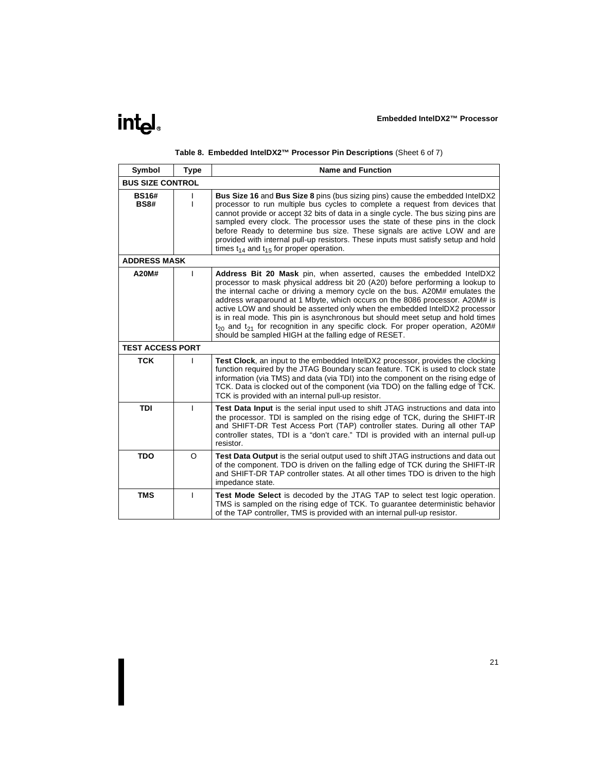

|  |  |  |  |  |  | Table 8. Embedded IntelDX2™ Processor Pin Descriptions (Sheet 6 of 7) |  |
|--|--|--|--|--|--|-----------------------------------------------------------------------|--|
|--|--|--|--|--|--|-----------------------------------------------------------------------|--|

| Symbol                      | <b>Type</b>  | <b>Name and Function</b>                                                                                                                                                                                                                                                                                                                                                                                                                                                                                                                                                                                                                 |
|-----------------------------|--------------|------------------------------------------------------------------------------------------------------------------------------------------------------------------------------------------------------------------------------------------------------------------------------------------------------------------------------------------------------------------------------------------------------------------------------------------------------------------------------------------------------------------------------------------------------------------------------------------------------------------------------------------|
| <b>BUS SIZE CONTROL</b>     |              |                                                                                                                                                                                                                                                                                                                                                                                                                                                                                                                                                                                                                                          |
| <b>BS16#</b><br><b>BS8#</b> | $\mathbf{I}$ | Bus Size 16 and Bus Size 8 pins (bus sizing pins) cause the embedded IntelDX2<br>processor to run multiple bus cycles to complete a request from devices that<br>cannot provide or accept 32 bits of data in a single cycle. The bus sizing pins are<br>sampled every clock. The processor uses the state of these pins in the clock<br>before Ready to determine bus size. These signals are active LOW and are<br>provided with internal pull-up resistors. These inputs must satisfy setup and hold<br>times $t_{14}$ and $t_{15}$ for proper operation.                                                                              |
| <b>ADDRESS MASK</b>         |              |                                                                                                                                                                                                                                                                                                                                                                                                                                                                                                                                                                                                                                          |
| A20M#                       | $\mathbf{I}$ | Address Bit 20 Mask pin, when asserted, causes the embedded IntelDX2<br>processor to mask physical address bit 20 (A20) before performing a lookup to<br>the internal cache or driving a memory cycle on the bus. A20M# emulates the<br>address wraparound at 1 Mbyte, which occurs on the 8086 processor. A20M# is<br>active LOW and should be asserted only when the embedded IntelDX2 processor<br>is in real mode. This pin is asynchronous but should meet setup and hold times<br>$t_{20}$ and $t_{21}$ for recognition in any specific clock. For proper operation, A20M#<br>should be sampled HIGH at the falling edge of RESET. |
| <b>TEST ACCESS PORT</b>     |              |                                                                                                                                                                                                                                                                                                                                                                                                                                                                                                                                                                                                                                          |
| <b>TCK</b>                  | $\mathbf{I}$ | <b>Test Clock</b> , an input to the embedded IntelDX2 processor, provides the clocking<br>function required by the JTAG Boundary scan feature. TCK is used to clock state<br>information (via TMS) and data (via TDI) into the component on the rising edge of<br>TCK. Data is clocked out of the component (via TDO) on the falling edge of TCK.<br>TCK is provided with an internal pull-up resistor.                                                                                                                                                                                                                                  |
| <b>TDI</b>                  | $\mathbf{I}$ | <b>Test Data Input</b> is the serial input used to shift JTAG instructions and data into<br>the processor. TDI is sampled on the rising edge of TCK, during the SHIFT-IR<br>and SHIFT-DR Test Access Port (TAP) controller states. During all other TAP<br>controller states, TDI is a "don't care." TDI is provided with an internal pull-up<br>resistor.                                                                                                                                                                                                                                                                               |
| <b>TDO</b>                  | O            | Test Data Output is the serial output used to shift JTAG instructions and data out<br>of the component. TDO is driven on the falling edge of TCK during the SHIFT-IR<br>and SHIFT-DR TAP controller states. At all other times TDO is driven to the high<br>impedance state.                                                                                                                                                                                                                                                                                                                                                             |
| <b>TMS</b>                  | $\mathbf{I}$ | <b>Test Mode Select</b> is decoded by the JTAG TAP to select test logic operation.<br>TMS is sampled on the rising edge of TCK. To guarantee deterministic behavior<br>of the TAP controller, TMS is provided with an internal pull-up resistor.                                                                                                                                                                                                                                                                                                                                                                                         |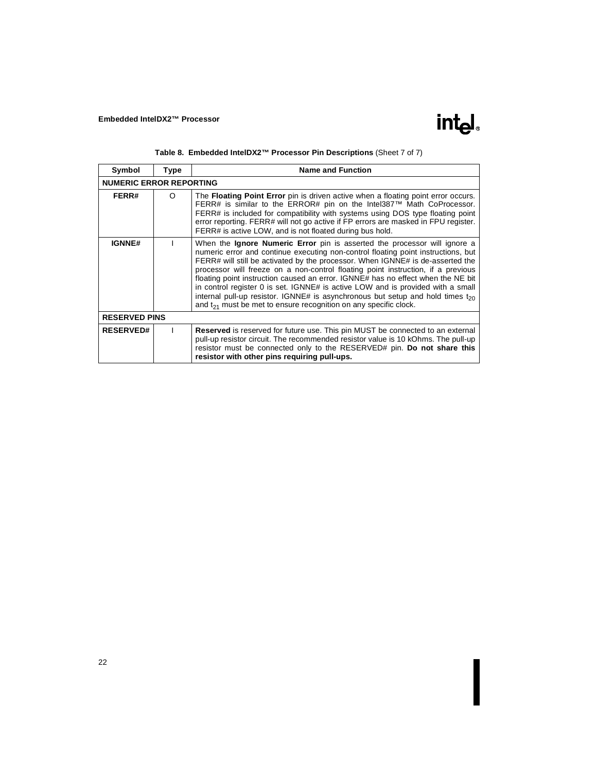| Symbol               | Type                           | <b>Name and Function</b>                                                                                                                                                                                                                                                                                                                                                                                                                                                                                                                                                                                                                                                           |  |  |  |  |
|----------------------|--------------------------------|------------------------------------------------------------------------------------------------------------------------------------------------------------------------------------------------------------------------------------------------------------------------------------------------------------------------------------------------------------------------------------------------------------------------------------------------------------------------------------------------------------------------------------------------------------------------------------------------------------------------------------------------------------------------------------|--|--|--|--|
|                      | <b>NUMERIC ERROR REPORTING</b> |                                                                                                                                                                                                                                                                                                                                                                                                                                                                                                                                                                                                                                                                                    |  |  |  |  |
| FERR#                | $\circ$                        | The <b>Floating Point Error</b> pin is driven active when a floating point error occurs.<br>FERR# is similar to the ERROR# pin on the Intel387™ Math CoProcessor.<br>FERR# is included for compatibility with systems using DOS type floating point<br>error reporting. FERR# will not go active if FP errors are masked in FPU register.<br>FERR# is active LOW, and is not floated during bus hold.                                                                                                                                                                                                                                                                              |  |  |  |  |
| <b>IGNNE#</b>        |                                | When the <b>Ignore Numeric Error</b> pin is asserted the processor will ignore a<br>numeric error and continue executing non-control floating point instructions, but<br>FERR# will still be activated by the processor. When IGNNE# is de-asserted the<br>processor will freeze on a non-control floating point instruction, if a previous<br>floating point instruction caused an error. IGNNE# has no effect when the NE bit<br>in control register 0 is set. IGNNE# is active LOW and is provided with a small<br>internal pull-up resistor. IGNNE# is asynchronous but setup and hold times $t_{20}$<br>and $t_{21}$ must be met to ensure recognition on any specific clock. |  |  |  |  |
| <b>RESERVED PINS</b> |                                |                                                                                                                                                                                                                                                                                                                                                                                                                                                                                                                                                                                                                                                                                    |  |  |  |  |
| <b>RESERVED#</b>     |                                | <b>Reserved</b> is reserved for future use. This pin MUST be connected to an external<br>pull-up resistor circuit. The recommended resistor value is 10 kOhms. The pull-up<br>resistor must be connected only to the RESERVED# pin. Do not share this<br>resistor with other pins requiring pull-ups.                                                                                                                                                                                                                                                                                                                                                                              |  |  |  |  |

|  | Table 8. Embedded IntelDX2™ Processor Pin Descriptions (Sheet 7 of 7) |  |  |  |  |  |  |  |  |
|--|-----------------------------------------------------------------------|--|--|--|--|--|--|--|--|
|--|-----------------------------------------------------------------------|--|--|--|--|--|--|--|--|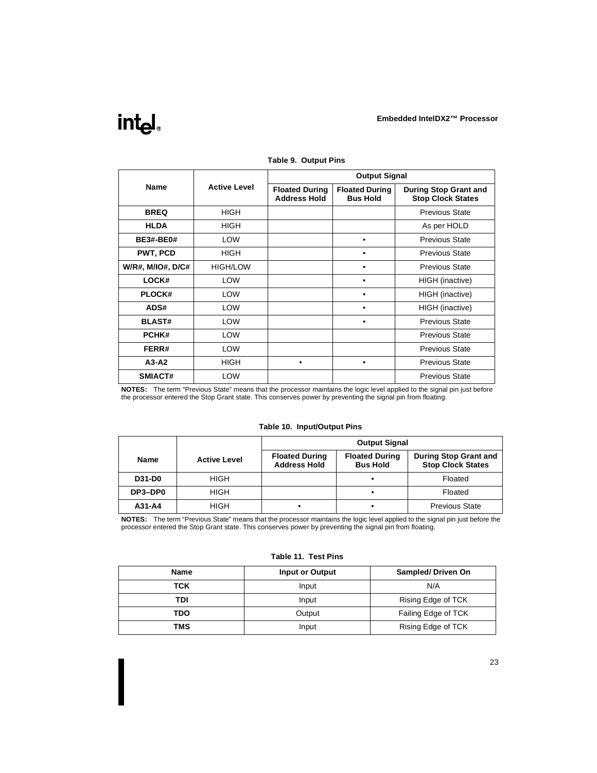

|                   |                     | <b>Output Signal</b>                         |                                          |                                                          |  |  |
|-------------------|---------------------|----------------------------------------------|------------------------------------------|----------------------------------------------------------|--|--|
| Name              | <b>Active Level</b> | <b>Floated During</b><br><b>Address Hold</b> | <b>Floated During</b><br><b>Bus Hold</b> | <b>During Stop Grant and</b><br><b>Stop Clock States</b> |  |  |
| <b>BREQ</b>       | <b>HIGH</b>         |                                              |                                          | <b>Previous State</b>                                    |  |  |
| <b>HLDA</b>       | <b>HIGH</b>         |                                              |                                          | As per HOLD                                              |  |  |
| <b>BE3#-BE0#</b>  | <b>LOW</b>          |                                              | ٠                                        | <b>Previous State</b>                                    |  |  |
| PWT, PCD          | <b>HIGH</b>         |                                              |                                          | <b>Previous State</b>                                    |  |  |
| W/R#, M/IO#, D/C# | HIGH/LOW            |                                              |                                          | <b>Previous State</b>                                    |  |  |
| LOCK#             | LOW                 |                                              |                                          | HIGH (inactive)                                          |  |  |
| <b>PLOCK#</b>     | <b>LOW</b>          |                                              |                                          | HIGH (inactive)                                          |  |  |
| ADS#              | <b>LOW</b>          |                                              | $\bullet$                                | HIGH (inactive)                                          |  |  |
| <b>BLAST#</b>     | <b>LOW</b>          |                                              |                                          | <b>Previous State</b>                                    |  |  |
| PCHK#             | <b>LOW</b>          |                                              |                                          | <b>Previous State</b>                                    |  |  |
| FERR#             | <b>LOW</b>          |                                              |                                          | <b>Previous State</b>                                    |  |  |
| $A3-A2$           | <b>HIGH</b>         | ٠                                            |                                          | <b>Previous State</b>                                    |  |  |
| SMIACT#           | <b>LOW</b>          |                                              |                                          | <b>Previous State</b>                                    |  |  |

**Table 9. Output Pins**

**NOTES:** The term "Previous State" means that the processor maintains the logic level applied to the signal pin just before the processor entered the Stop Grant state. This conserves power by preventing the signal pin from floating.

|  | Table 10. Input/Output Pins |  |
|--|-----------------------------|--|
|--|-----------------------------|--|

|               |                     | <b>Output Signal</b>                         |                                          |                                                          |
|---------------|---------------------|----------------------------------------------|------------------------------------------|----------------------------------------------------------|
| <b>Name</b>   | <b>Active Level</b> | <b>Floated During</b><br><b>Address Hold</b> | <b>Floated During</b><br><b>Bus Hold</b> | <b>During Stop Grant and</b><br><b>Stop Clock States</b> |
| <b>D31-D0</b> | <b>HIGH</b>         |                                              |                                          | Floated                                                  |
| DP3-DP0       | HIGH                |                                              |                                          | Floated                                                  |
| A31-A4        | <b>HIGH</b>         |                                              |                                          | <b>Previous State</b>                                    |

**NOTES:** The term "Previous State" means that the processor maintains the logic level applied to the signal pin just before the processor entered the Stop Grant state. This conserves power by preventing the signal pin from floating.

| <b>Name</b> | Input or Output | Sampled/Driven On   |
|-------------|-----------------|---------------------|
| TCK         | Input           | N/A                 |
| TDI         | Input           | Rising Edge of TCK  |
| TDO         | Output          | Failing Edge of TCK |
| <b>TMS</b>  | Input           | Rising Edge of TCK  |

#### **Table 11. Test Pins**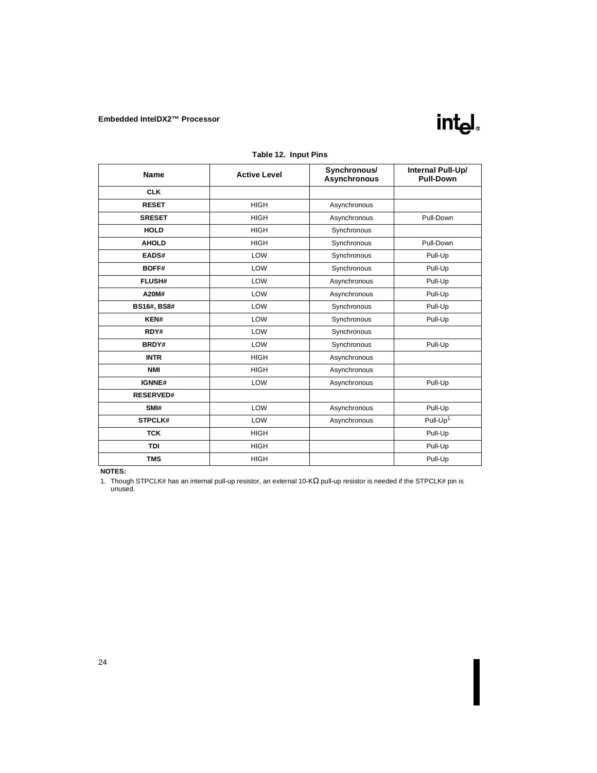

| <b>Name</b>        | <b>Active Level</b> | Synchronous/<br>Asynchronous | Internal Pull-Up/<br><b>Pull-Down</b> |
|--------------------|---------------------|------------------------------|---------------------------------------|
| <b>CLK</b>         |                     |                              |                                       |
| <b>RESET</b>       | <b>HIGH</b>         | Asynchronous                 |                                       |
| <b>SRESET</b>      | <b>HIGH</b>         | Asynchronous                 | Pull-Down                             |
| <b>HOLD</b>        | <b>HIGH</b>         | Synchronous                  |                                       |
| <b>AHOLD</b>       | <b>HIGH</b>         | Synchronous                  | Pull-Down                             |
| EADS#              | LOW                 | Synchronous                  | Pull-Up                               |
| BOFF#              | LOW                 | Synchronous                  | Pull-Up                               |
| <b>FLUSH#</b>      | LOW                 | Asynchronous                 | Pull-Up                               |
| A20M#              | LOW                 | Asynchronous                 | Pull-Up                               |
| <b>BS16#, BS8#</b> | LOW                 | Synchronous                  | Pull-Up                               |
| KEN#               | LOW                 | Synchronous                  | Pull-Up                               |
| RDY#               | LOW                 | Synchronous                  |                                       |
| BRDY#              | LOW                 | Synchronous                  | Pull-Up                               |
| <b>INTR</b>        | <b>HIGH</b>         | Asynchronous                 |                                       |
| <b>NMI</b>         | <b>HIGH</b>         | Asynchronous                 |                                       |
| IGNNE#             | LOW                 | Asynchronous                 | Pull-Up                               |
| <b>RESERVED#</b>   |                     |                              |                                       |
| SMI#               | LOW                 | Asynchronous                 | Pull-Up                               |
| STPCLK#            | LOW                 | Asynchronous                 | Pull-Up <sup>1</sup>                  |
| <b>TCK</b>         | <b>HIGH</b>         |                              | Pull-Up                               |
| <b>TDI</b>         | <b>HIGH</b>         |                              | Pull-Up                               |
| <b>TMS</b>         | <b>HIGH</b>         |                              | Pull-Up                               |

**Table 12. Input Pins** 

#### **NOTES:**

1. Though STPCLK# has an internal pull-up resistor, an external 10-KΩ pull-up resistor is needed if the STPCLK# pin is unused.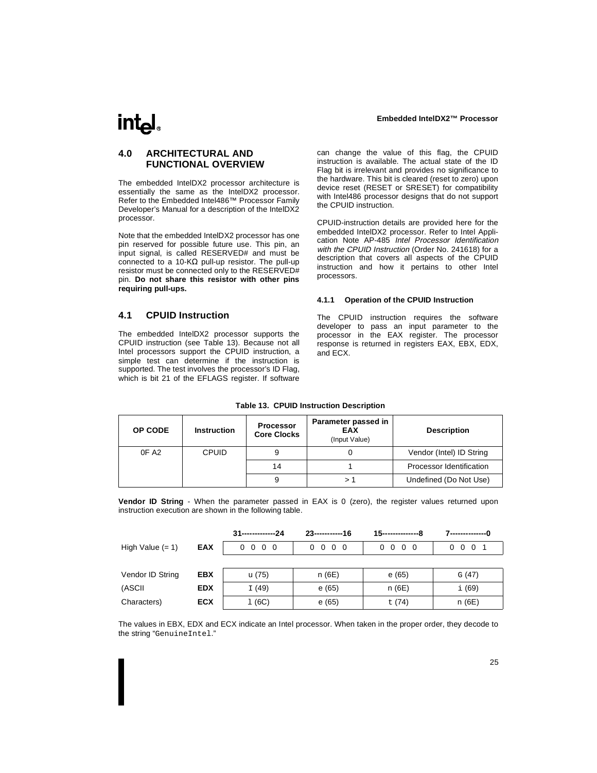## <span id="page-28-0"></span>int<sub>e</sub>l

## **4.0 ARCHITECTURAL AND FUNCTIONAL OVERVIEW**

The embedded IntelDX2 processor architecture is essentially the same as the IntelDX2 processor. Refer to the Embedded Intel486™ Processor Family Developer's Manual for a description of the IntelDX2 processor.

Note that the embedded IntelDX2 processor has one pin reserved for possible future use. This pin, an input signal, is called RESERVED# and must be connected to a 10-KΩ pull-up resistor. The pull-up resistor must be connected only to the RESERVED# pin. **Do not share this resistor with other pins requiring pull-ups.**

can change the value of this flag, the CPUID instruction is available. The actual state of the ID Flag bit is irrelevant and provides no significance to the hardware. This bit is cleared (reset to zero) upon device reset (RESET or SRESET) for compatibility with Intel486 processor designs that do not support the CPUID instruction.

CPUID-instruction details are provided here for the embedded IntelDX2 processor. Refer to Intel Application Note AP-485 Intel Processor Identification with the CPUID Instruction (Order No. 241618) for a description that covers all aspects of the CPUID instruction and how it pertains to other Intel processors.

#### **4.1.1 Operation of the CPUID Instruction**

The CPUID instruction requires the software developer to pass an input parameter to the processor in the EAX register. The processor response is returned in registers EAX, EBX, EDX, and ECX.

## **4.1 CPUID Instruction**

The embedded IntelDX2 processor supports the CPUID instruction (see Table 13). Because not all Intel processors support the CPUID instruction, a simple test can determine if the instruction is supported. The test involves the processor's ID Flag, which is bit 21 of the EFLAGS register. If software

|  | <b>Table 13. CPUID Instruction Description</b> |
|--|------------------------------------------------|
|  |                                                |

| OP CODE           | <b>Instruction</b> | <b>Processor</b><br><b>Core Clocks</b> | Parameter passed in<br><b>EAX</b><br>(Input Value) | <b>Description</b>       |
|-------------------|--------------------|----------------------------------------|----------------------------------------------------|--------------------------|
| OF A <sub>2</sub> | <b>CPUID</b>       |                                        |                                                    | Vendor (Intel) ID String |
|                   |                    | 14                                     |                                                    | Processor Identification |
|                   |                    |                                        |                                                    | Undefined (Do Not Use)   |

**Vendor ID String** - When the parameter passed in EAX is 0 (zero), the register values returned upon instruction execution are shown in the following table.

|                    |            | 31--------------24       | $23$ -------------16     |                                     |                      |
|--------------------|------------|--------------------------|--------------------------|-------------------------------------|----------------------|
| High Value $(= 1)$ | <b>EAX</b> | $0\quad 0\quad 0\quad 0$ | $0\quad 0\quad 0\quad 0$ | $0\quad 0$<br>$\overline{0}$<br>- 0 | 0 <sub>1</sub><br>00 |
|                    |            |                          |                          |                                     |                      |
| Vendor ID String   | <b>EBX</b> | u (75)                   | n (6E)                   | e(65)                               | G(47)                |
| (ASCII             | <b>EDX</b> | I(49)                    | e(65)                    | n (6E)                              | i (69)               |
| Characters)        | <b>ECX</b> | 1(6C)                    | e(65)                    | t (74)                              | n (6E)               |

The values in EBX, EDX and ECX indicate an Intel processor. When taken in the proper order, they decode to the string "GenuineIntel."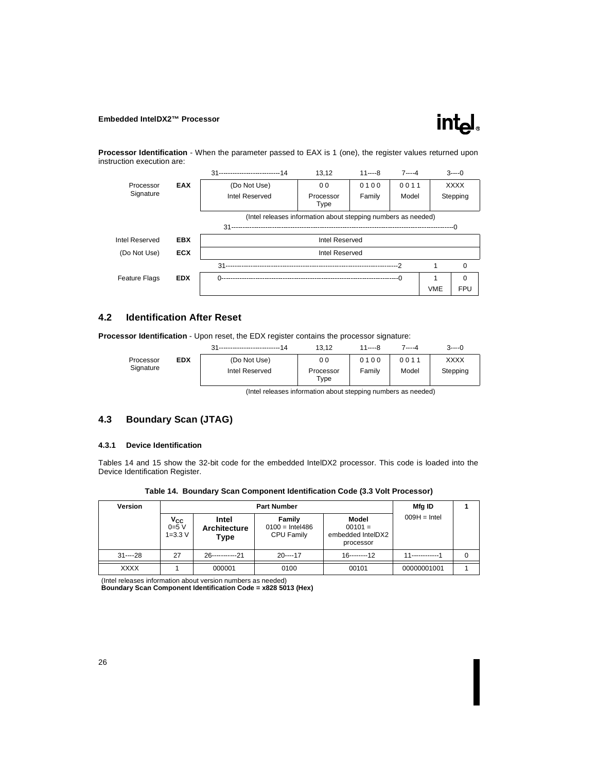<span id="page-29-0"></span>**Processor Identification** - When the parameter passed to EAX is 1 (one), the register values returned upon instruction execution are:

|                      |            | 31----------------------------14                              | 13.12             | $11---8$ | $7 - -4$ |            | $3---0$     |  |
|----------------------|------------|---------------------------------------------------------------|-------------------|----------|----------|------------|-------------|--|
| Processor            | <b>EAX</b> | (Do Not Use)                                                  | 0 <sub>0</sub>    | 0100     | 0011     |            | <b>XXXX</b> |  |
| Signature            |            | Intel Reserved                                                | Processor<br>Type | Family   | Model    |            | Stepping    |  |
|                      |            | (Intel releases information about stepping numbers as needed) |                   |          |          |            |             |  |
|                      |            |                                                               |                   |          |          |            |             |  |
| Intel Reserved       | <b>EBX</b> |                                                               | Intel Reserved    |          |          |            |             |  |
| (Do Not Use)         | <b>ECX</b> | Intel Reserved                                                |                   |          |          |            |             |  |
|                      |            | $31 -$                                                        |                   |          |          |            | 0           |  |
| <b>Feature Flags</b> | <b>EDX</b> |                                                               |                   |          |          |            | $\Omega$    |  |
|                      |            |                                                               |                   |          |          | <b>VME</b> | <b>FPU</b>  |  |

## **4.2 Identification After Reset**

**Processor Identification** - Upon reset, the EDX register contains the processor signature:

| Processor |  |
|-----------|--|
| Signature |  |
|           |  |

|            | 14             | 13.12             | 11----8 | 7----4 | $3---0$     |
|------------|----------------|-------------------|---------|--------|-------------|
| <b>EDX</b> | (Do Not Use)   | 00                | 0100    | 0011   | <b>XXXX</b> |
|            | Intel Reserved | Processor<br>Type | Family  | Model  | Stepping    |

(Intel releases information about stepping numbers as needed)

## **4.3 Boundary Scan (JTAG)**

#### **4.3.1 Device Identification**

Tables 14 and [15](#page-30-0) show the 32-bit code for the embedded IntelDX2 processor. This code is loaded into the Device Identification Register.

|  |  |  | Table 14. Boundary Scan Component Identification Code (3.3 Volt Processor) |  |  |
|--|--|--|----------------------------------------------------------------------------|--|--|
|--|--|--|----------------------------------------------------------------------------|--|--|

| <b>Version</b> |                                  |                                      | Mfg ID                                    |                                                      |                 |   |
|----------------|----------------------------------|--------------------------------------|-------------------------------------------|------------------------------------------------------|-----------------|---|
|                | $V_{CC}$<br>0=5 V<br>$1 = 3.3 V$ | Intel<br><b>Architecture</b><br>Type | Family<br>$0100 =$ Intel486<br>CPU Family | Model<br>$00101 =$<br>embedded IntelDX2<br>processor | $009H = Intel$  |   |
| $31--28$       | 27                               | 26------------21                     | $20--17$                                  | 16--------12                                         | 11------------1 | 0 |
| XXXX           |                                  | 000001                               | 0100                                      | 00101                                                | 00000001001     |   |

(Intel releases information about version numbers as needed) **Boundary Scan Component Identification Code = x828 5013 (Hex)**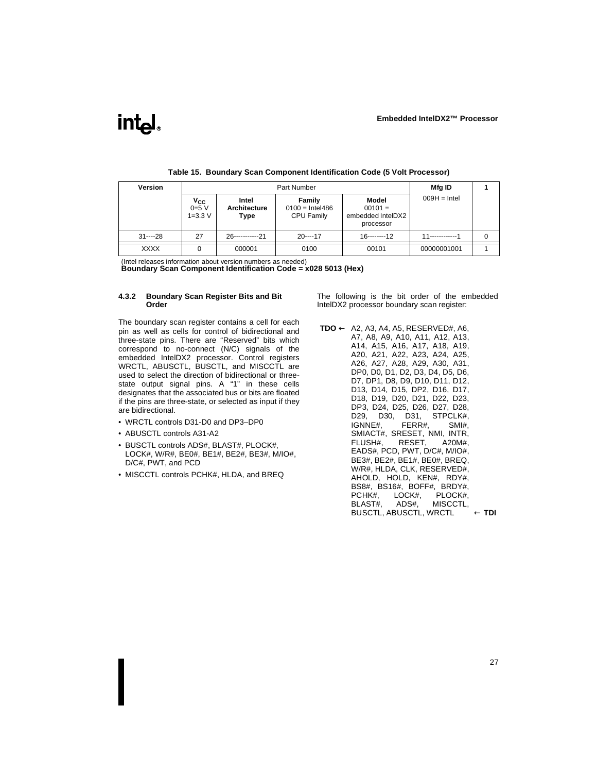<span id="page-30-0"></span>

| <b>Version</b> |                                                   |                                      | Mfg ID                                    |                                                      |                  |   |
|----------------|---------------------------------------------------|--------------------------------------|-------------------------------------------|------------------------------------------------------|------------------|---|
|                | $V_{\text{CC}}$ <sub>0=5</sub> $V$<br>$1 = 3.3 V$ | Intel<br><b>Architecture</b><br>Type | Family<br>$0100 =$ Intel486<br>CPU Family | Model<br>$00101 =$<br>embedded IntelDX2<br>processor | $009H = Intel$   |   |
| $31--28$       | 27                                                | $26$ -----------21                   | $20---17$                                 | $16$ --------12                                      | 11-------------1 | 0 |
| <b>XXXX</b>    |                                                   | 000001                               | 0100                                      | 00101                                                | 00000001001      |   |

**Table 15. Boundary Scan Component Identification Code (5 Volt Processor)**

(Intel releases information about version numbers as needed)

**Boundary Scan Component Identification Code = x028 5013 (Hex)**

#### **4.3.2 Boundary Scan Register Bits and Bit Order**

The boundary scan register contains a cell for each pin as well as cells for control of bidirectional and three-state pins. There are "Reserved" bits which correspond to no-connect (N/C) signals of the embedded IntelDX2 processor. Control registers WRCTL, ABUSCTL, BUSCTL, and MISCCTL are used to select the direction of bidirectional or threestate output signal pins. A "1" in these cells designates that the associated bus or bits are floated if the pins are three-state, or selected as input if they are bidirectional.

- WRCTL controls D31-D0 and DP3–DP0
- ABUSCTL controls A31-A2
- BUSCTL controls ADS#, BLAST#, PLOCK#, LOCK#, W/R#, BE0#, BE1#, BE2#, BE3#, M/IO#, D/C#, PWT, and PCD
- MISCCTL controls PCHK#, HLDA, and BREQ

The following is the bit order of the embedded IntelDX2 processor boundary scan register:

**TDO** ← A2, A3, A4, A5, RESERVED#, A6, A7, A8, A9, A10, A11, A12, A13, A14, A15, A16, A17, A18, A19, A20, A21, A22, A23, A24, A25, A26, A27, A28, A29, A30, A31, DP0, D0, D1, D2, D3, D4, D5, D6, D7, DP1, D8, D9, D10, D11, D12, D13, D14, D15, DP2, D16, D17, D18, D19, D20, D21, D22, D23, DP3, D24, D25, D26, D27, D28,<br>D29, D30, D31, STPCLK#. D29, D30, D31, STPCLK#, IGNNE#, FERR#, SMI#, SMIACT#, SRESET, NMI, INTR, FLUSH#, RESET, A20M#, EADS#, PCD, PWT, D/C#, M/IO#, BE3#, BE2#, BE1#, BE0#, BREQ, W/R#, HLDA, CLK, RESERVED#, AHOLD, HOLD, KEN#, RDY#, BS8#, BS16#, BOFF#, BRDY#, PCHK#, LOCK#, PLOCK#, BLAST#, ADS#, MISCCTL, BUSCTL, ABUSCTL, WRCTL ← **TDI**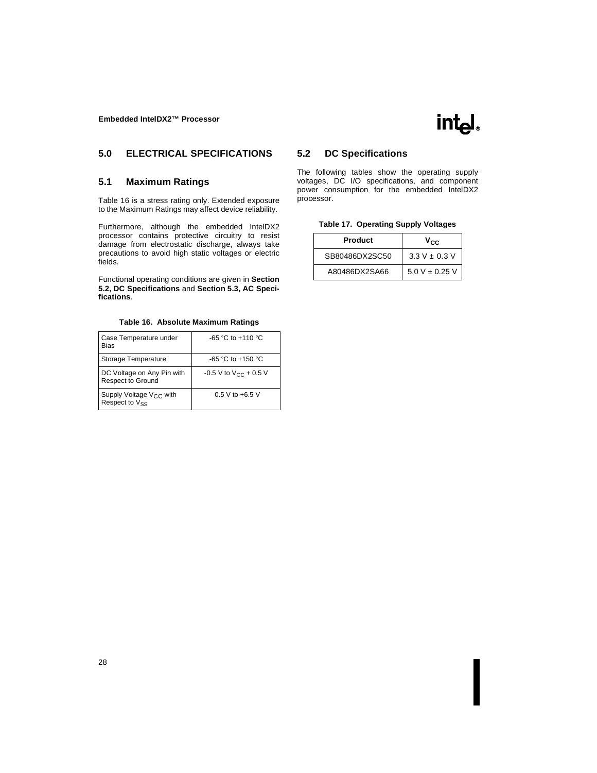## <span id="page-31-0"></span>**5.0 ELECTRICAL SPECIFICATIONS**

### **5.1 Maximum Ratings**

Table 16 is a stress rating only. Extended exposure to the Maximum Ratings may affect device reliability.

Furthermore, although the embedded IntelDX2 processor contains protective circuitry to resist damage from electrostatic discharge, always take precautions to avoid high static voltages or electric fields.

Functional operating conditions are given in **Section 5.2, DC Specifications** and **[Section 5.3, AC Speci](#page-36-0)[fications](#page-36-0)**.

| Table 16. Absolute Maximum Ratings |  |  |  |  |
|------------------------------------|--|--|--|--|
|------------------------------------|--|--|--|--|

| Case Temperature under<br><b>Bias</b>                      | $-65 °C$ to $+110 °C$               |
|------------------------------------------------------------|-------------------------------------|
| Storage Temperature                                        | $-65 °C$ to $+150 °C$               |
| DC Voltage on Any Pin with<br><b>Respect to Ground</b>     | $-0.5$ V to V <sub>CC</sub> + 0.5 V |
| Supply Voltage V <sub>CC</sub> with<br>Respect to $V_{SS}$ | $-0.5$ V to $+6.5$ V                |

### **5.2 DC Specifications**

The following tables show the operating supply voltages, DC I/O specifications, and component power consumption for the embedded IntelDX2 processor.

|  | Table 17. Operating Supply Voltages |  |  |
|--|-------------------------------------|--|--|
|  |                                     |  |  |

| <b>Product</b> | Vcc                |
|----------------|--------------------|
| SB80486DX2SC50 | $3.3 V + 0.3 V$    |
| A80486DX2SA66  | $5.0 V \pm 0.25 V$ |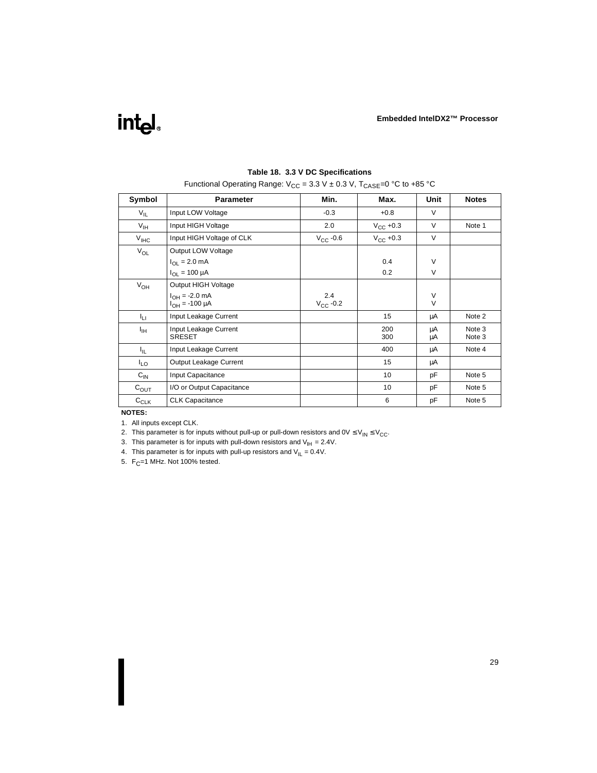| Symbol           | <b>Parameter</b>                | Min.          | Max.                 | Unit   | <b>Notes</b> |
|------------------|---------------------------------|---------------|----------------------|--------|--------------|
| $V_{IL}$         | Input LOW Voltage               | $-0.3$        | $+0.8$               | $\vee$ |              |
| $V_{\text{IH}}$  | Input HIGH Voltage              | 2.0           | $V_{\text{CC}}$ +0.3 | V      | Note 1       |
| $V_{\text{IHC}}$ | Input HIGH Voltage of CLK       | $V_{CC}$ -0.6 | $V_{CC}$ +0.3        | $\vee$ |              |
| $V_{OL}$         | Output LOW Voltage              |               |                      |        |              |
|                  | $I_{\Omega I} = 2.0 \text{ mA}$ |               | 0.4                  | V      |              |
|                  | $I_{\Omega I} = 100 \mu A$      |               | 0.2                  | $\vee$ |              |
| $V_{OH}$         | Output HIGH Voltage             |               |                      |        |              |
|                  | $I_{OH} = -2.0$ mA              | 2.4           |                      | V      |              |
|                  | $I_{OH} = -100 \mu A$           | $V_{CC}$ -0.2 |                      | $\vee$ |              |
| Īц               | Input Leakage Current           |               | 15                   | μA     | Note 2       |
| Ιщ               | Input Leakage Current           |               | 200                  | μA     | Note 3       |
|                  | <b>SRESET</b>                   |               | 300                  | μA     | Note 3       |
| ΙL.              | Input Leakage Current           |               | 400                  | μA     | Note 4       |
| $I_{LO}$         | Output Leakage Current          |               | 15                   | μA     |              |
| $C_{IN}$         | Input Capacitance               |               | 10                   | pF     | Note 5       |
| $C_{\text{OUT}}$ | I/O or Output Capacitance       |               | 10                   | pF     | Note 5       |
| $C_{CLK}$        | <b>CLK Capacitance</b>          |               | 6                    | pF     | Note 5       |

#### **Table 18. 3.3 V DC Specifications**

Functional Operating Range:  $V_{CC}$  = 3.3 V ± 0.3 V, T<sub>CASE</sub>=0 °C to +85 °C

**NOTES:**

1. All inputs except CLK.

2. This parameter is for inputs without pull-up or pull-down resistors and  $0 \vee \leq V_{IN} \leq V_{CC}$ .

3. This parameter is for inputs with pull-down resistors and  $V_{\text{H}} = 2.4V$ .

4. This parameter is for inputs with pull-up resistors and  $V_{IL} = 0.4V$ .

5.  $F_C = 1$  MHz. Not 100% tested.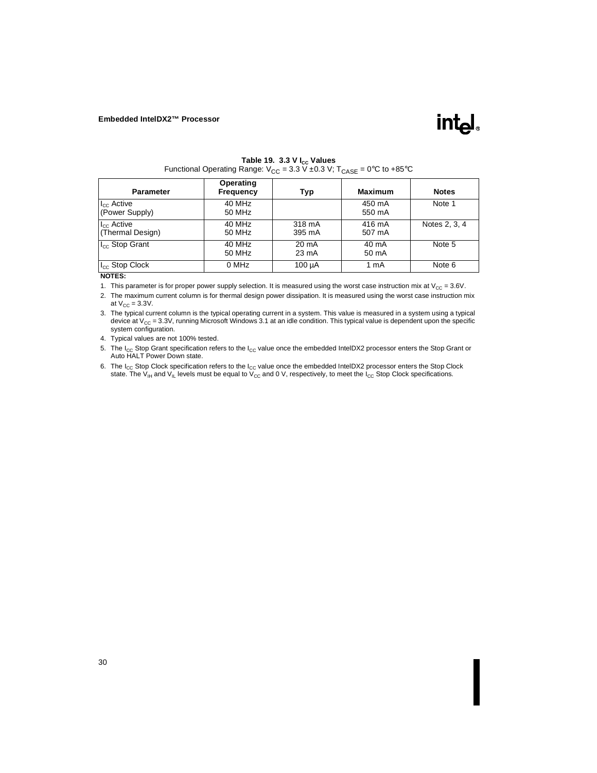

| <b>Parameter</b>                         | Operating<br><b>Frequency</b> | Typ                      | <b>Maximum</b>   | <b>Notes</b>  |
|------------------------------------------|-------------------------------|--------------------------|------------------|---------------|
| $I_{\text{cc}}$ Active<br>(Power Supply) | 40 MHz<br>50 MHz              |                          | 450 mA<br>550 mA | Note 1        |
| $I_{\rm cc}$ Active<br>(Thermal Design)  | 40 MHz<br>50 MHz              | 318 mA<br>395 mA         | 416 mA<br>507 mA | Notes 2, 3, 4 |
| I <sub>cc</sub> Stop Grant               | 40 MHz<br>50 MHz              | $20 \text{ mA}$<br>23 mA | 40 mA<br>50 mA   | Note 5        |
| I <sub>cc</sub> Stop Clock               | 0 MHz                         | 100 µA                   | 1 mA             | Note 6        |

Table 19. 3.3 V I<sub>cc</sub> Values Functional Operating Range:  $V_{CC} = 3.3 \text{ V} \pm 0.3 \text{ V}$ ; T<sub>CASE</sub> = 0°C to +85°C

#### **NOTES:**

1. This parameter is for proper power supply selection. It is measured using the worst case instruction mix at  $V_{CC} = 3.6V$ .

2. The maximum current column is for thermal design power dissipation. It is measured using the worst case instruction mix at  $V_{CC} = 3.3V$ .

3. The typical current column is the typical operating current in a system. This value is measured in a system using a typical device at  $V_{CC} = 3.3V$ , running Microsoft Windows 3.1 at an idle condition. This typical value is dependent upon the specific system configuration.

4. Typical values are not 100% tested.

5. The I<sub>CC</sub> Stop Grant specification refers to the I<sub>CC</sub> value once the embedded IntelDX2 processor enters the Stop Grant or Auto HALT Power Down state.

6. The  $I_{CC}$  Stop Clock specification refers to the  $I_{CC}$  value once the embedded IntelDX2 processor enters the Stop Clock state. The V<sub>IH</sub> and V<sub>IL</sub> levels must be equal to  $V_{CC}$  and 0 V, respectively, to meet the I<sub>CC</sub> Stop Clock specifications.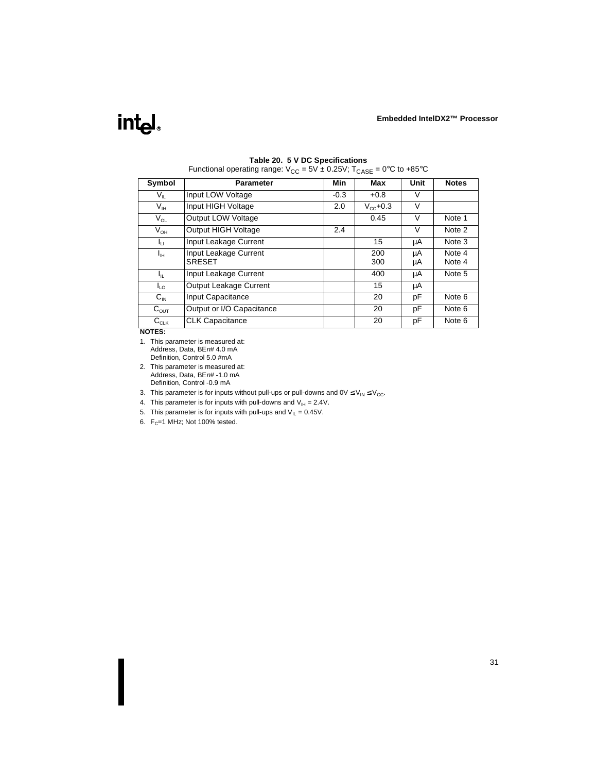# int<sub>e</sub>l

| Symbol                  | <b>Parameter</b>                       | Min    | Max           | Unit     | <b>Notes</b>     |
|-------------------------|----------------------------------------|--------|---------------|----------|------------------|
| $V_{\parallel}$         | Input LOW Voltage                      | $-0.3$ | $+0.8$        | V        |                  |
| $V_{IH}$                | Input HIGH Voltage                     | 2.0    | $V_{cc}$ +0.3 | $\vee$   |                  |
| $V_{OL}$                | Output LOW Voltage                     |        | 0.45          | $\vee$   | Note 1           |
| $V_{OH}$                | <b>Output HIGH Voltage</b>             | 2.4    |               | V        | Note 2           |
| Iц                      | Input Leakage Current                  |        | 15            | μA       | Note 3           |
| $I_{\text{IH}}$         | Input Leakage Current<br><b>SRESET</b> |        | 200<br>300    | μA<br>μA | Note 4<br>Note 4 |
| Ιı.                     | Input Leakage Current                  |        | 400           | μA       | Note 5           |
| I <sub>LO</sub>         | Output Leakage Current                 |        | 15            | μA       |                  |
| $C_{\text{IN}}$         | Input Capacitance                      |        | 20            | рF       | Note 6           |
| $C_{\text{OUT}}$        | Output or I/O Capacitance              |        | 20            | рF       | Note 6           |
| $C_{\text{\tiny{CLK}}}$ | <b>CLK Capacitance</b>                 |        | 20            | рF       | Note 6           |

#### **Table 20. 5 V DC Specifications**

Functional operating range:  $V_{CC} = 5V \pm 0.25V$ ; T<sub>CASE</sub> = 0°C to +85°C

**NOTES:**

- 1. This parameter is measured at: Address, Data, BEn# 4.0 mA Definition, Control 5.0 #mA
- 2. This parameter is measured at: Address, Data, BEn# -1.0 mA Definition, Control -0.9 mA
- 3. This parameter is for inputs without pull-ups or pull-downs and  $0 \vee \leq V_{IN} \leq V_{CC}$ .

4. This parameter is for inputs with pull-downs and  $V_{\text{H}} = 2.4V$ .

5. This parameter is for inputs with pull-ups and  $V_{IL} = 0.45V$ .

6.  $F_C = 1$  MHz; Not 100% tested.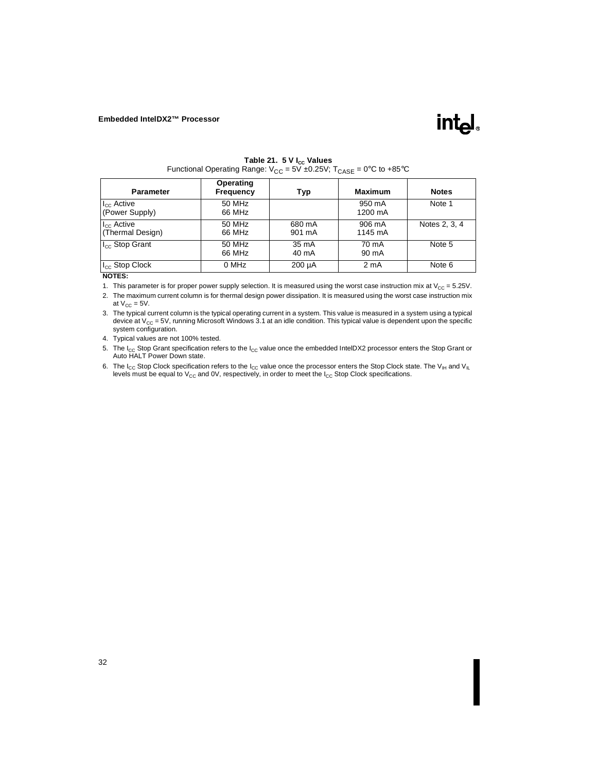

| <b>Parameter</b>                           | Operating<br>Frequency | Typ              | <b>Maximum</b>    | <b>Notes</b>  |
|--------------------------------------------|------------------------|------------------|-------------------|---------------|
| $I_{\rm CC}$ Active<br>(Power Supply)      | 50 MHz<br>66 MHz       |                  | 950 mA<br>1200 mA | Note 1        |
| I <sub>cc</sub> Active<br>(Thermal Design) | 50 MHz<br>66 MHz       | 680 mA<br>901 mA | 906 mA<br>1145 mA | Notes 2, 3, 4 |
| I <sub>cc</sub> Stop Grant                 | 50 MHz<br>66 MHz       | 35 mA<br>40 mA   | 70 mA<br>90 mA    | Note 5        |
| I <sub>cc</sub> Stop Clock                 | 0 MHz                  | $200 \mu A$      | 2 <sub>m</sub> A  | Note 6        |

Table 21. 5 V I<sub>cc</sub> Values Functional Operating Range:  $V_{CC} = 5V \pm 0.25V$ ;  $T_{CASE} = 0^{\circ}C$  to  $+85^{\circ}C$ 

#### **NOTES:**

1. This parameter is for proper power supply selection. It is measured using the worst case instruction mix at  $V_{CC} = 5.25V$ .

2. The maximum current column is for thermal design power dissipation. It is measured using the worst case instruction mix at  $V_{CC} = 5V$ .

3. The typical current column is the typical operating current in a system. This value is measured in a system using a typical device at  $V_{CC} = 5V$ , running Microsoft Windows 3.1 at an idle condition. This typical value is dependent upon the specific system configuration.

4. Typical values are not 100% tested.

5. The I<sub>CC</sub> Stop Grant specification refers to the I<sub>CC</sub> value once the embedded IntelDX2 processor enters the Stop Grant or Auto HALT Power Down state.

6. The I<sub>CC</sub> Stop Clock specification refers to the I<sub>CC</sub> value once the processor enters the Stop Clock state. The V<sub>IH</sub> and V<sub>IL</sub> levels must be equal to  $V_{CC}$  and OV, respectively, in order to meet the  $I_{CC}$  Stop Clock specifications.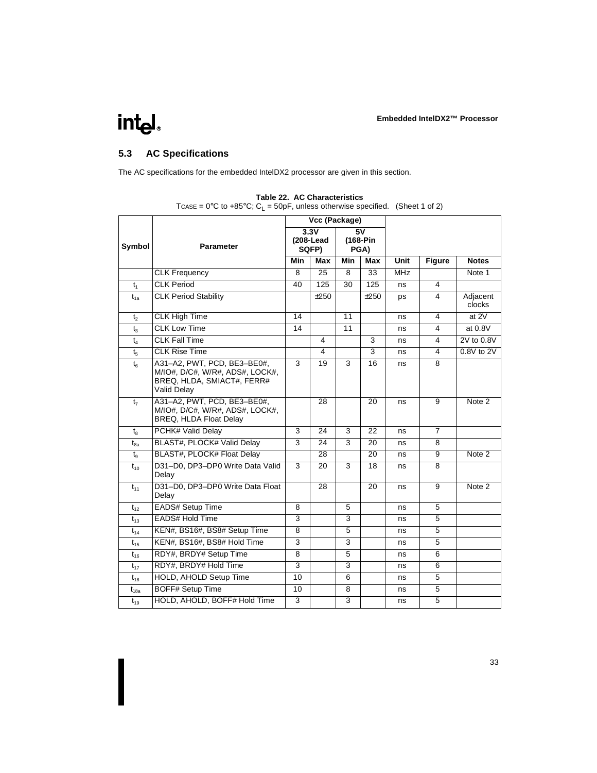## <span id="page-36-0"></span>intel.

## **5.3 AC Specifications**

The AC specifications for the embedded IntelDX2 processor are given in this section.

|                |                                                                                                             | Vcc (Package)   |                            |                        |                 |            |                         |                    |
|----------------|-------------------------------------------------------------------------------------------------------------|-----------------|----------------------------|------------------------|-----------------|------------|-------------------------|--------------------|
| Symbol         | <b>Parameter</b>                                                                                            |                 | 3.3V<br>(208-Lead<br>SQFP) | 5V<br>(168-Pin<br>PGA) |                 |            |                         |                    |
|                |                                                                                                             | <b>Min</b>      | <b>Max</b>                 | <b>Min</b>             | Max             | Unit       | <b>Figure</b>           | <b>Notes</b>       |
|                | <b>CLK Frequency</b>                                                                                        | 8               | $\overline{25}$            | 8                      | $\overline{33}$ | <b>MHz</b> |                         | Note 1             |
| t <sub>1</sub> | <b>CLK Period</b>                                                                                           | 40              | 125                        | $\overline{30}$        | 125             | ns         | $\overline{\mathbf{4}}$ |                    |
| $t_{1a}$       | <b>CLK Period Stability</b>                                                                                 |                 | ±250                       |                        | ±250            | ps         | 4                       | Adjacent<br>clocks |
| $t_{2}$        | <b>CLK High Time</b>                                                                                        | $\overline{14}$ |                            | 11                     |                 | ns         | 4                       | at $2V$            |
| $t_3$          | <b>CLK Low Time</b>                                                                                         | $\overline{14}$ |                            | $\overline{11}$        |                 | ns         | 4                       | at $0.8V$          |
| $t_4$          | <b>CLK Fall Time</b>                                                                                        |                 | 4                          |                        | $\overline{3}$  | ns         | 4                       | 2V to 0.8V         |
| $t_{5}$        | <b>CLK Rise Time</b>                                                                                        |                 | 4                          |                        | 3               | ns         | 4                       | $0.8V$ to $2V$     |
| $t_{6}$        | A31-A2, PWT, PCD, BE3-BE0#,<br>M/IO#, D/C#, W/R#, ADS#, LOCK#,<br>BREQ, HLDA, SMIACT#, FERR#<br>Valid Delay | 3               | $\overline{19}$            | 3                      | $\overline{16}$ | ns         | $\overline{8}$          |                    |
| t <sub>7</sub> | A31-A2, PWT, PCD, BE3-BE0#.<br>M/IO#, D/C#, W/R#, ADS#, LOCK#,<br>BREQ, HLDA Float Delay                    |                 | $\overline{28}$            |                        | $\overline{20}$ | ns         | 9                       | Note 2             |
| $t_{8}$        | <b>PCHK# Valid Delay</b>                                                                                    | 3               | 24                         | 3                      | $\overline{22}$ | ns         | $\overline{7}$          |                    |
| $t_{8a}$       | BLAST#, PLOCK# Valid Delay                                                                                  | 3               | 24                         | 3                      | 20              | ns         | 8                       |                    |
| $t_{\rm g}$    | BLAST#, PLOCK# Float Delay                                                                                  |                 | $\overline{28}$            |                        | $\overline{20}$ | ns         | 9                       | Note 2             |
| $t_{10}$       | D31-D0, DP3-DP0 Write Data Valid<br>Delay                                                                   | 3               | $\overline{20}$            | 3                      | $\overline{18}$ | ns         | $\overline{8}$          |                    |
| $t_{11}$       | D31-D0, DP3-DP0 Write Data Float<br>Delay                                                                   |                 | $\overline{28}$            |                        | $\overline{20}$ | ns         | $\overline{9}$          | Note 2             |
| $t_{12}$       | <b>EADS# Setup Time</b>                                                                                     | 8               |                            | 5                      |                 | ns         | 5                       |                    |
| $t_{13}$       | <b>EADS# Hold Time</b>                                                                                      | $\overline{3}$  |                            | 3                      |                 | ns         | 5                       |                    |
| $t_{14}$       | KEN#, BS16#, BS8# Setup Time                                                                                | 8               |                            | 5                      |                 | ns         | 5                       |                    |
| $t_{15}$       | KEN#, BS16#, BS8# Hold Time                                                                                 | $\overline{3}$  |                            | $\overline{3}$         |                 | ns         | 5                       |                    |
| $t_{16}$       | RDY#, BRDY# Setup Time                                                                                      | $\overline{8}$  |                            | $\overline{5}$         |                 | ns         | 6                       |                    |
| $t_{17}$       | RDY#, BRDY# Hold Time                                                                                       | 3               |                            | 3                      |                 | ns         | 6                       |                    |
| $t_{18}$       | <b>HOLD, AHOLD Setup Time</b>                                                                               | $\overline{10}$ |                            | 6                      |                 | ns         | 5                       |                    |
| $t_{18a}$      | <b>BOFF# Setup Time</b>                                                                                     | 10              |                            | 8                      |                 | ns         | 5                       |                    |
| $t_{19}$       | HOLD, AHOLD, BOFF# Hold Time                                                                                | $\overline{3}$  |                            | $\overline{3}$         |                 | ns         | 5                       |                    |

TCASE =  $0^{\circ}$ C to +85 $^{\circ}$ C; C<sub>L</sub> = 50pF, unless otherwise specified. (Sheet 1 of 2)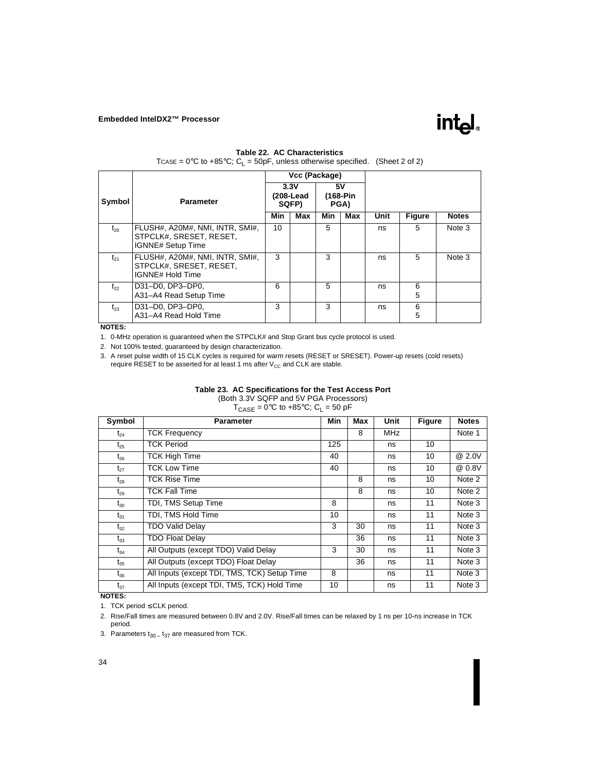

#### **Table 22. AC Characteristics**

TCASE =  $0^{\circ}$ C to +85 $^{\circ}$ C; C<sub>L</sub> = 50pF, unless otherwise specified. (Sheet 2 of 2)

|          |                                                                                        |                            | Vcc (Package) |     |     |                  |               |              |  |  |
|----------|----------------------------------------------------------------------------------------|----------------------------|---------------|-----|-----|------------------|---------------|--------------|--|--|
| Symbol   | <b>Parameter</b>                                                                       | 3.3V<br>(208-Lead<br>SQFP) |               | 5٧  |     | (168-Pin<br>PGA) |               |              |  |  |
|          |                                                                                        | Min                        | Max           | Min | Max | Unit             | <b>Figure</b> | <b>Notes</b> |  |  |
| $t_{20}$ | FLUSH#. A20M#. NMI. INTR. SMI#.<br>STPCLK#, SRESET, RESET.<br><b>IGNNE# Setup Time</b> | 10                         |               | 5   |     | ns               | 5             | Note 3       |  |  |
| $t_{21}$ | FLUSH#, A20M#, NMI, INTR, SMI#.<br>STPCLK#, SRESET, RESET,<br>IGNNE# Hold Time         | 3                          |               | 3   |     | ns               | 5             | Note 3       |  |  |
| $t_{22}$ | D31-D0, DP3-DP0.<br>A31-A4 Read Setup Time                                             | 6                          |               | 5   |     | ns               | 6<br>5        |              |  |  |
| $t_{23}$ | D31-D0, DP3-DP0,<br>A31-A4 Read Hold Time                                              | 3                          |               | 3   |     | ns               | 6<br>5        |              |  |  |

#### **NOTES:**

1. 0-MHz operation is guaranteed when the STPCLK# and Stop Grant bus cycle protocol is used.

2. Not 100% tested, guaranteed by design characterization.

3. A reset pulse width of 15 CLK cycles is required for warm resets (RESET or SRESET). Power-up resets (cold resets) require RESET to be asserted for at least 1 ms after  $V_{CC}$  and CLK are stable.

#### **Table 23. AC Specifications for the Test Access Port**

(Both 3.3V SQFP and 5V PGA Processors)

 $T_{\text{CASE}} = 0^{\circ}\text{C}$  to +85 $^{\circ}\text{C}$ ; C<sub>L</sub> = 50 pF

| Symbol   | <b>Parameter</b>                             | Min | Max | Unit       | <b>Figure</b> | <b>Notes</b> |
|----------|----------------------------------------------|-----|-----|------------|---------------|--------------|
| $t_{24}$ | <b>TCK Frequency</b>                         |     | 8   | <b>MHz</b> |               | Note 1       |
| $t_{25}$ | <b>TCK Period</b>                            | 125 |     | ns         | 10            |              |
| $t_{26}$ | <b>TCK High Time</b>                         | 40  |     | ns         | 10            | @ 2.0V       |
| $t_{27}$ | <b>TCK Low Time</b>                          | 40  |     | ns         | 10            | @ 0.8V       |
| $t_{28}$ | <b>TCK Rise Time</b>                         |     | 8   | ns         | 10            | Note 2       |
| $t_{29}$ | <b>TCK Fall Time</b>                         |     | 8   | ns         | 10            | Note 2       |
| $t_{30}$ | TDI, TMS Setup Time                          | 8   |     | ns         | 11            | Note 3       |
| $t_{31}$ | TDI, TMS Hold Time                           | 10  |     | ns         | 11            | Note 3       |
| $t_{32}$ | <b>TDO Valid Delay</b>                       | 3   | 30  | ns         | 11            | Note 3       |
| $t_{33}$ | <b>TDO Float Delay</b>                       |     | 36  | ns         | 11            | Note 3       |
| $t_{34}$ | All Outputs (except TDO) Valid Delay         | 3   | 30  | ns         | 11            | Note 3       |
| $t_{35}$ | All Outputs (except TDO) Float Delay         |     | 36  | ns         | 11            | Note 3       |
| $t_{36}$ | All Inputs (except TDI, TMS, TCK) Setup Time | 8   |     | ns         | 11            | Note 3       |
| $t_{37}$ | All Inputs (except TDI, TMS, TCK) Hold Time  | 10  |     | ns         | 11            | Note 3       |

#### **NOTES:**

1. TCK period ≤ CLK period.

2. Rise/Fall times are measured between 0.8V and 2.0V. Rise/Fall times can be relaxed by 1 ns per 10-ns increase in TCK period.

3. Parameters  $t_{30}$  –  $t_{37}$  are measured from TCK.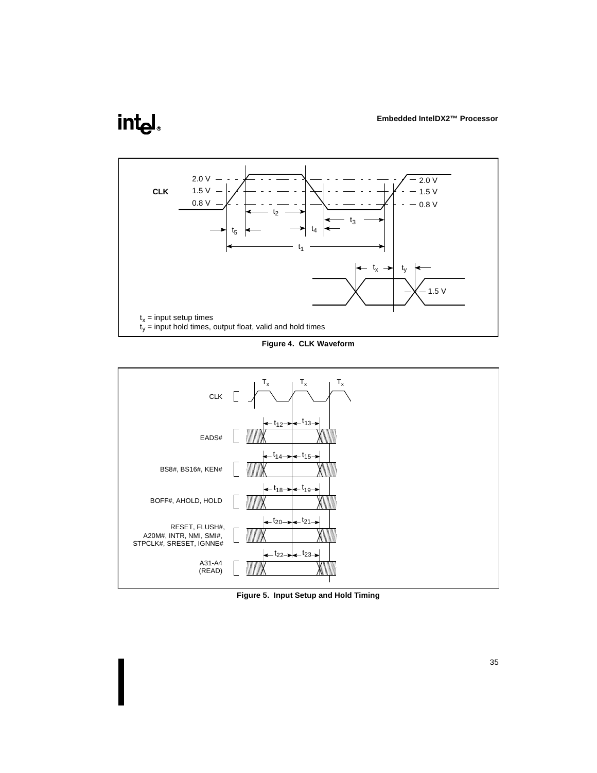# <span id="page-38-0"></span>int<sub>el</sub>



**Figure 4. CLK Waveform**



**Figure 5. Input Setup and Hold Timing**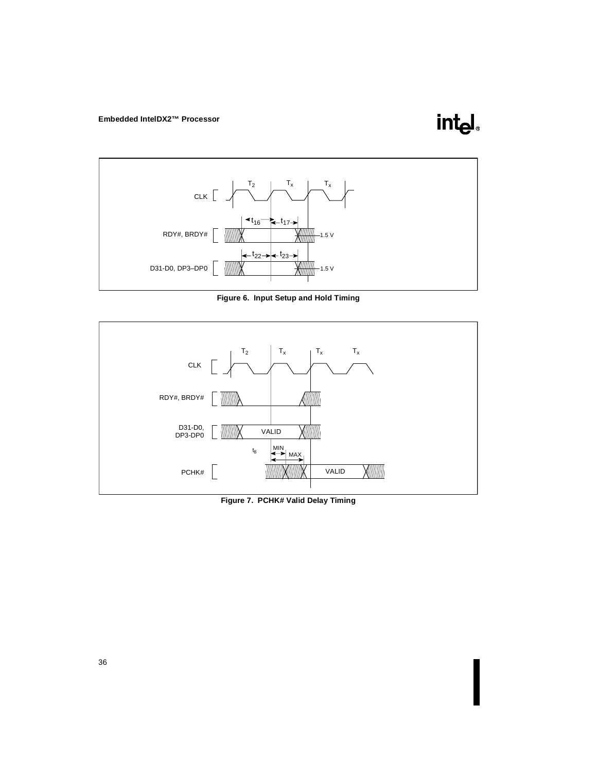**intel** 

<span id="page-39-0"></span>

**Figure 6. Input Setup and Hold Timing**



**Figure 7. PCHK# Valid Delay Timing**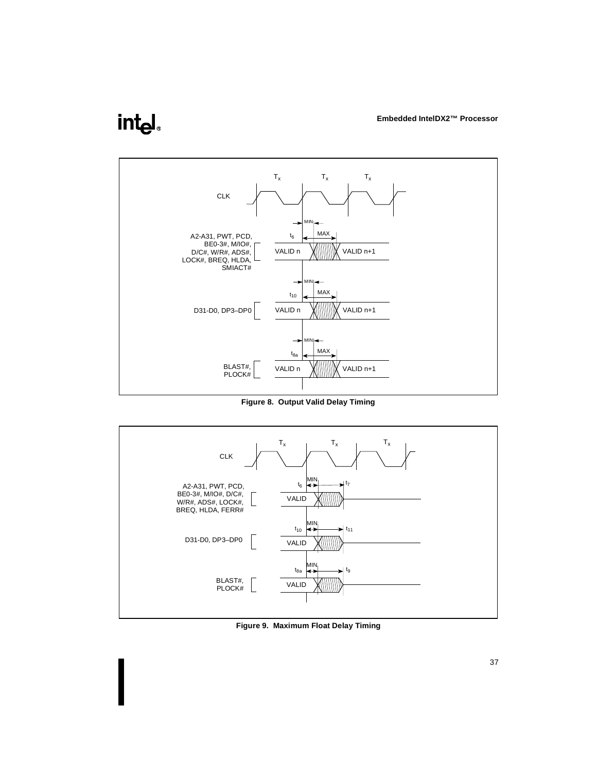## <span id="page-40-0"></span>intel.



**Figure 8. Output Valid Delay Timing**

![](_page_40_Figure_4.jpeg)

**Figure 9. Maximum Float Delay Timing**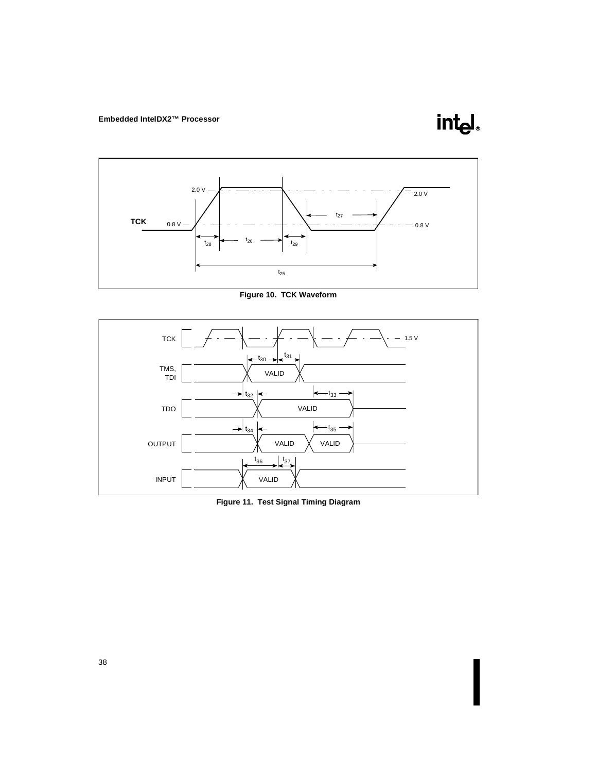![](_page_41_Picture_1.jpeg)

<span id="page-41-0"></span>![](_page_41_Figure_2.jpeg)

**Figure 10. TCK Waveform**

![](_page_41_Figure_4.jpeg)

**Figure 11. Test Signal Timing Diagram**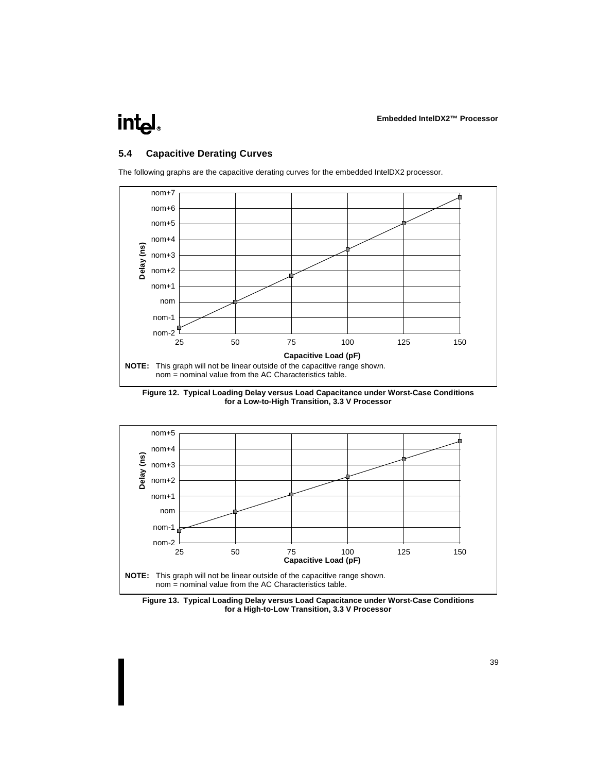<span id="page-42-0"></span>![](_page_42_Picture_1.jpeg)

## **5.4 Capacitive Derating Curves**

![](_page_42_Figure_3.jpeg)

The following graphs are the capacitive derating curves for the embedded IntelDX2 processor.

**Figure 12. Typical Loading Delay versus Load Capacitance under Worst-Case Conditions for a Low-to-High Transition, 3.3 V Processor**

![](_page_42_Figure_6.jpeg)

**Figure 13. Typical Loading Delay versus Load Capacitance under Worst-Case Conditions for a High-to-Low Transition, 3.3 V Processor**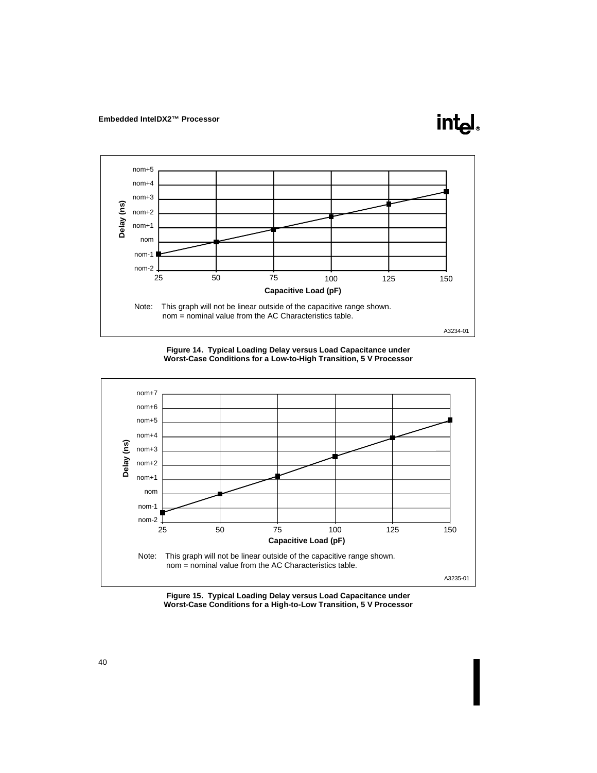![](_page_43_Figure_1.jpeg)

<u>intم</u>

![](_page_43_Figure_2.jpeg)

![](_page_43_Figure_3.jpeg)

**Figure 15. Typical Loading Delay versus Load Capacitance under Worst-Case Conditions for a High-to-Low Transition, 5 V Processor**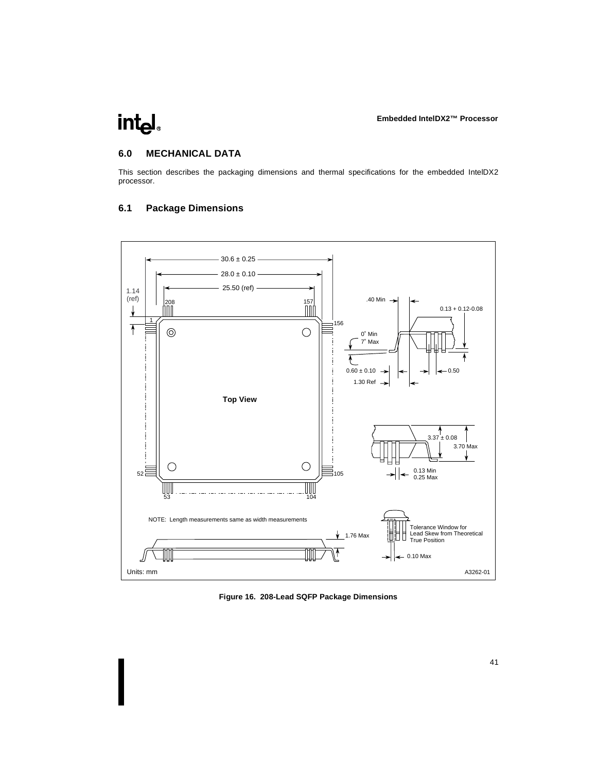## <span id="page-44-0"></span>**6.0 MECHANICAL DATA**

This section describes the packaging dimensions and thermal specifications for the embedded IntelDX2 processor.

## **6.1 Package Dimensions**

![](_page_44_Figure_5.jpeg)

**Figure 16. 208-Lead SQFP Package Dimensions**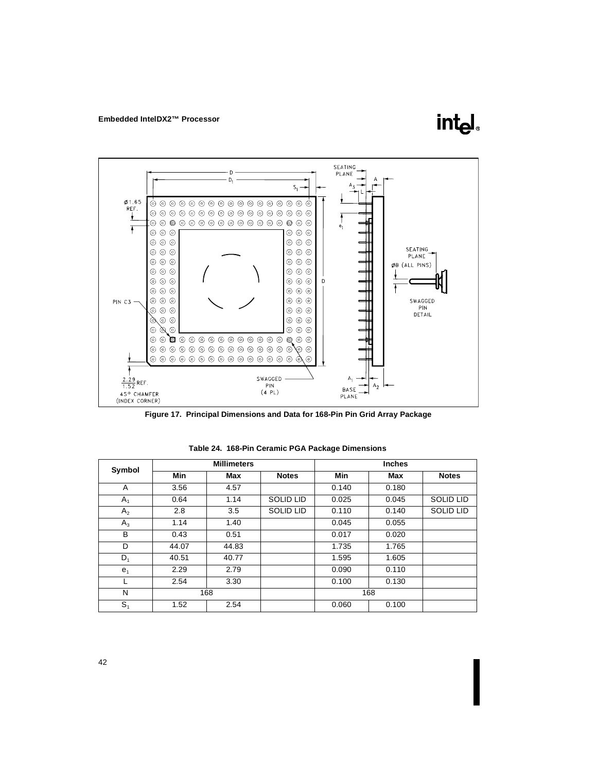![](_page_45_Figure_1.jpeg)

![](_page_45_Figure_2.jpeg)

**Figure 17. Principal Dimensions and Data for 168-Pin Pin Grid Array Package**

| Symbol         | <b>Millimeters</b> |       |                  |       |       |                  |
|----------------|--------------------|-------|------------------|-------|-------|------------------|
|                | Min                | Max   | <b>Notes</b>     | Min   | Max   | <b>Notes</b>     |
| A              | 3.56               | 4.57  |                  | 0.140 | 0.180 |                  |
| $A_1$          | 0.64               | 1.14  | <b>SOLID LID</b> | 0.025 | 0.045 | <b>SOLID LID</b> |
| A <sub>2</sub> | 2.8                | 3.5   | <b>SOLID LID</b> | 0.110 | 0.140 | <b>SOLID LID</b> |
| $A_3$          | 1.14               | 1.40  |                  | 0.045 | 0.055 |                  |
| В              | 0.43               | 0.51  |                  | 0.017 | 0.020 |                  |
| D              | 44.07              | 44.83 |                  | 1.735 | 1.765 |                  |
| $D_1$          | 40.51              | 40.77 |                  | 1.595 | 1.605 |                  |
| e <sub>1</sub> | 2.29               | 2.79  |                  | 0.090 | 0.110 |                  |
|                | 2.54               | 3.30  |                  | 0.100 | 0.130 |                  |
| N              |                    | 168   |                  |       | 168   |                  |
| $S_1$          | 1.52               | 2.54  |                  | 0.060 | 0.100 |                  |

**Table 24. 168-Pin Ceramic PGA Package Dimensions**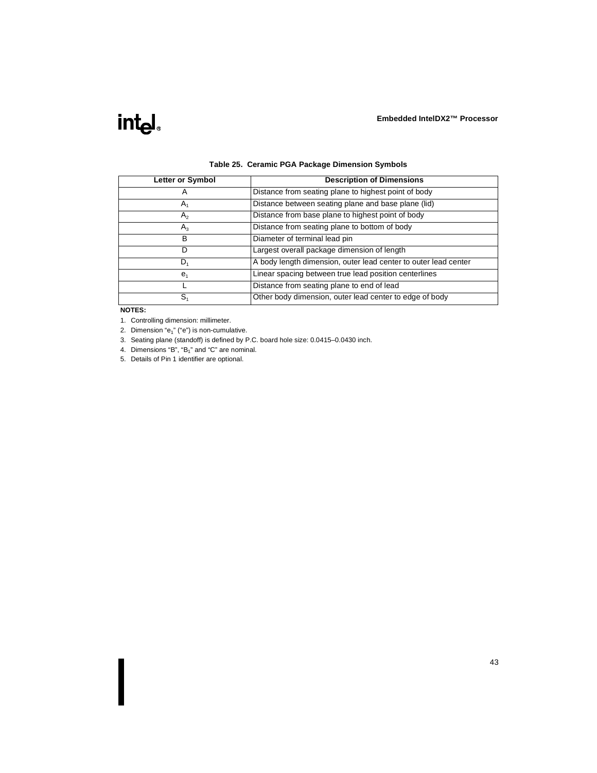![](_page_46_Picture_1.jpeg)

| Letter or Symbol | <b>Description of Dimensions</b>                                |
|------------------|-----------------------------------------------------------------|
| A                | Distance from seating plane to highest point of body            |
| $A_1$            | Distance between seating plane and base plane (lid)             |
| A <sub>2</sub>   | Distance from base plane to highest point of body               |
| $A_3$            | Distance from seating plane to bottom of body                   |
| B                | Diameter of terminal lead pin                                   |
| D                | Largest overall package dimension of length                     |
| $D_1$            | A body length dimension, outer lead center to outer lead center |
| e <sub>1</sub>   | Linear spacing between true lead position centerlines           |
|                  | Distance from seating plane to end of lead                      |
| S <sub>1</sub>   | Other body dimension, outer lead center to edge of body         |

#### **Table 25. Ceramic PGA Package Dimension Symbols**

#### **NOTES:**

1. Controlling dimension: millimeter.

2. Dimension " $e_1$ " ("e") is non-cumulative.

3. Seating plane (standoff) is defined by P.C. board hole size: 0.0415–0.0430 inch.

4. Dimensions "B", "B<sub>1</sub>" and "C" are nominal.

5. Details of Pin 1 identifier are optional.